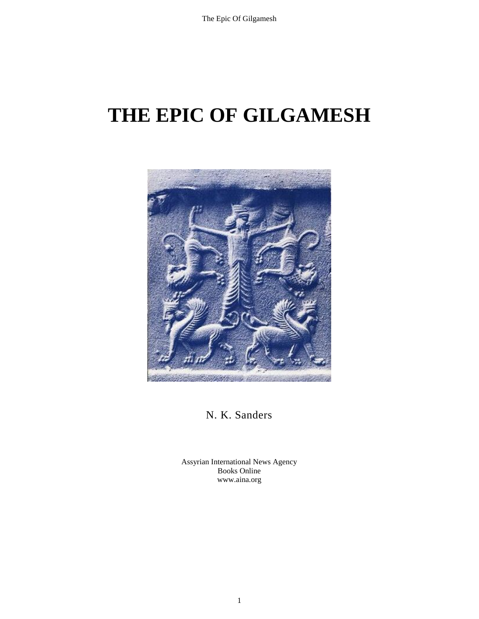# **THE EPIC OF GILGAMESH**



# N. K. Sanders

Assyrian International News Agency Books Online www.aina.org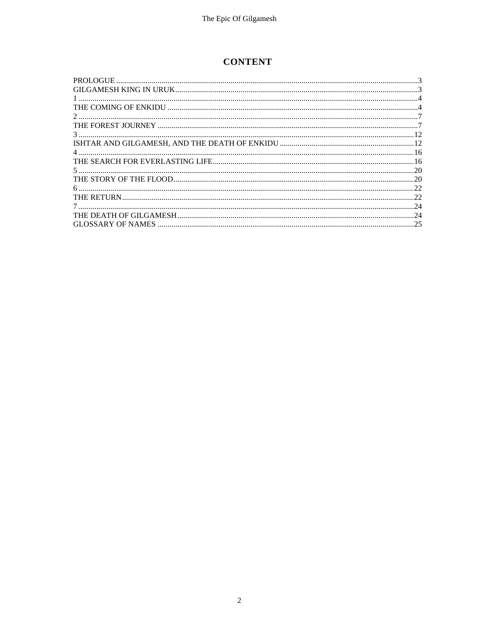# **CONTENT**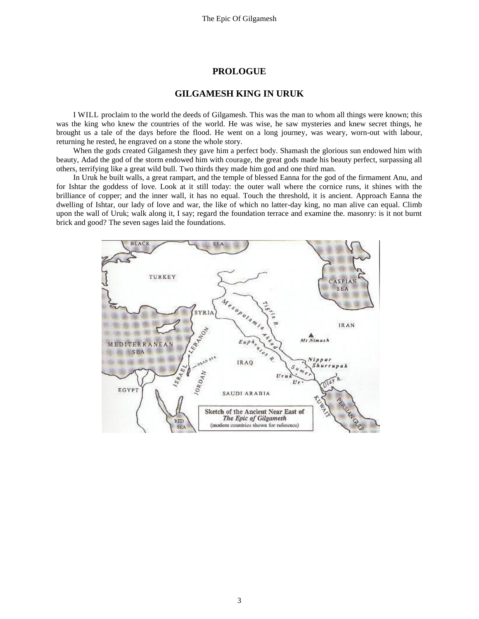# **PROLOGUE**

# **GILGAMESH KING IN URUK**

<span id="page-2-1"></span><span id="page-2-0"></span>I WILL proclaim to the world the deeds of Gilgamesh. This was the man to whom all things were known; this was the king who knew the countries of the world. He was wise, he saw mysteries and knew secret things, he brought us a tale of the days before the flood. He went on a long journey, was weary, worn-out with labour, returning he rested, he engraved on a stone the whole story.

When the gods created Gilgamesh they gave him a perfect body. Shamash the glorious sun endowed him with beauty, Adad the god of the storm endowed him with courage, the great gods made his beauty perfect, surpassing all others, terrifying like a great wild bull. Two thirds they made him god and one third man.

In Uruk he built walls, a great rampart, and the temple of blessed Eanna for the god of the firmament Anu, and for Ishtar the goddess of love. Look at it still today: the outer wall where the cornice runs, it shines with the brilliance of copper; and the inner wall, it has no equal. Touch the threshold, it is ancient. Approach Eanna the dwelling of Ishtar, our lady of love and war, the like of which no latter-day king, no man alive can equal. Climb upon the wall of Uruk; walk along it, I say; regard the foundation terrace and examine the. masonry: is it not burnt brick and good? The seven sages laid the foundations.

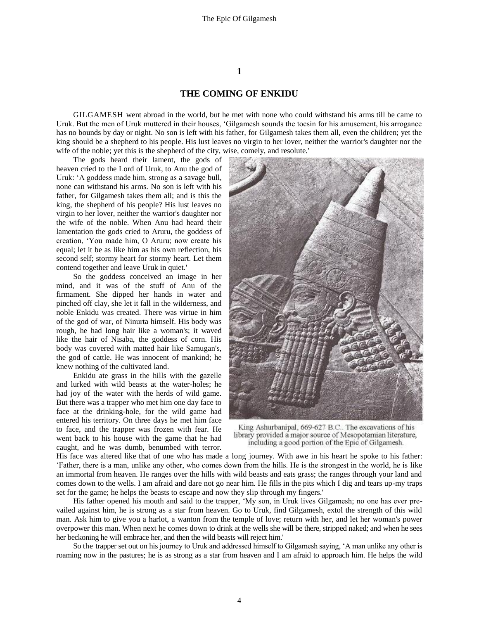#### **THE COMING OF ENKIDU**

<span id="page-3-1"></span><span id="page-3-0"></span>GILGAMESH went abroad in the world, but he met with none who could withstand his arms till be came to Uruk. But the men of Uruk muttered in their houses, 'Gilgamesh sounds the tocsin for his amusement, his arrogance has no bounds by day or night. No son is left with his father, for Gilgamesh takes them all, even the children; yet the king should be a shepherd to his people. His lust leaves no virgin to her lover, neither the warrior's daughter nor the wife of the noble; yet this is the shepherd of the city, wise, comely, and resolute.'

The gods heard their lament, the gods of heaven cried to the Lord of Uruk, to Anu the god of Uruk: 'A goddess made him, strong as a savage bull, none can withstand his arms. No son is left with his father, for Gilgamesh takes them all; and is this the king, the shepherd of his people? His lust leaves no virgin to her lover, neither the warrior's daughter nor the wife of the noble. When Anu had heard their lamentation the gods cried to Aruru, the goddess of creation, 'You made him, O Aruru; now create his equal; let it be as like him as his own reflection, his second self; stormy heart for stormy heart. Let them contend together and leave Uruk in quiet.'

So the goddess conceived an image in her mind, and it was of the stuff of Anu of the firmament. She dipped her hands in water and pinched off clay, she let it fall in the wilderness, and noble Enkidu was created. There was virtue in him of the god of war, of Ninurta himself. His body was rough, he had long hair like a woman's; it waved like the hair of Nisaba, the goddess of corn. His body was covered with matted hair like Samugan's, the god of cattle. He was innocent of mankind; he knew nothing of the cultivated land.

Enkidu ate grass in the hills with the gazelle and lurked with wild beasts at the water-holes; he had joy of the water with the herds of wild game. But there was a trapper who met him one day face to face at the drinking-hole, for the wild game had entered his territory. On three days he met him face to face, and the trapper was frozen with fear. He went back to his house with the game that he had caught, and he was dumb, benumbed with terror.



King Ashurbanipal, 669-627 B.C.. The excavations of his library provided a major source of Mesopotamian literature, including a good portion of the Epic of Gilgamesh.

His face was altered like that of one who has made a long journey. With awe in his heart he spoke to his father: 'Father, there is a man, unlike any other, who comes down from the hills. He is the strongest in the world, he is like an immortal from heaven. He ranges over the hills with wild beasts and eats grass; the ranges through your land and comes down to the wells. I am afraid and dare not go near him. He fills in the pits which I dig and tears up-my traps set for the game; he helps the beasts to escape and now they slip through my fingers.'

His father opened his mouth and said to the trapper, 'My son, in Uruk lives Gilgamesh; no one has ever prevailed against him, he is strong as a star from heaven. Go to Uruk, find Gilgamesh, extol the strength of this wild man. Ask him to give you a harlot, a wanton from the temple of love; return with her, and let her woman's power overpower this man. When next he comes down to drink at the wells she will be there, stripped naked; and when he sees her beckoning he will embrace her, and then the wild beasts will reject him.'

So the trapper set out on his journey to Uruk and addressed himself to Gilgamesh saying, 'A man unlike any other is roaming now in the pastures; he is as strong as a star from heaven and I am afraid to approach him. He helps the wild

 $\Delta$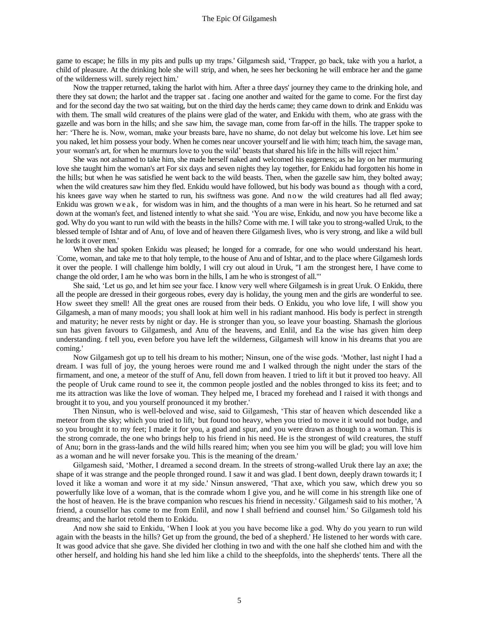game to escape; he fills in my pits and pulls up my traps.' Gilgamesh said, 'Trapper, go back, take with you a harlot, a child of pleasure. At the drinking hole she will strip, and when, he sees her beckoning he will embrace her and the game of the wilderness will. surely reject him.'

Now the trapper returned, taking the harlot with him. After a three days' journey they came to the drinking hole, and there they sat down; the harlot and the trapper sat . facing one another and waited for the game to come. For the first day and for the second day the two sat waiting, but on the third day the herds came; they came down to drink and Enkidu was with them. The small wild creatures of the plains were glad of the water, and Enkidu with them, who ate grass with the gazelle and was born in the hills; and she saw him, the savage man, come from far-off in the hills. The trapper spoke to her: 'There he is. Now, woman, make your breasts bare, have no shame, do not delay but welcome his love. Let him see you naked, let him possess your body. When he comes near uncover yourself and lie with him; teach him, the savage man, your woman's art, for when he murmurs love to you the wild' beasts that shared his life in the hills will reject him.'

She was not ashamed to take him, she made herself naked and welcomed his eagerness; as he lay on her murmuring love she taught him the woman's art For six days and seven nights they lay together, for Enkidu had forgotten his home in the hills; but when he was satisfied he went back to the wild beasts. Then, when the gazelle saw him, they bolted away; when the wild creatures saw him they fled. Enkidu would have followed, but his body was bound as though with a cord, his knees gave way when he started to run, his swiftness was gone. And n ow the wild creatures had all fled away; Enkidu was grown we ak, for wisdom was in him, and the thoughts of a man were in his heart. So he returned and sat down at the woman's feet, and listened intently to what she said. 'You are wise, Enkidu, and now you have become like a god. Why do you want to run wild with the beasts in the hills? Come with me. I will take you to strong-walled Uruk, to the blessed temple of Ishtar and of Anu, of love and of heaven there Gilgamesh lives, who is very strong, and like a wild bull he lords it over men.'

When she had spoken Enkidu was pleased; he longed for a comrade, for one who would understand his heart. 'Come, woman, and take me to that holy temple, to the house of Anu and of Ishtar, and to the place where Gilgamesh lords it over the people. I will challenge him boldly, I will cry out aloud in Uruk, "I am the strongest here, I have come to change the old order, I am he who was born in the hills, I am he who is strongest of all."'

She said, 'Let us go, and let him see your face. I know very well where Gilgamesh is in great Uruk. O Enkidu, there all the people are dressed in their gorgeous robes, every day is holiday, the young men and the girls are wonderful to see. How sweet they smell! All the great ones are roused from their beds. O Enkidu, you who love life, I will show you Gilgamesh, a man of many moods; you shall look at him well in his radiant manhood. His body is perfect in strength and maturity; he never rests by night or day. He is stronger than you, so leave your boasting. Shamash the glorious sun has given favours to Gilgamesh, and Anu of the heavens, and Enlil, and Ea the wise has given him deep understanding. f tell you, even before you have left the wilderness, Gilgamesh will know in his dreams that you are coming.'

Now Gilgamesh got up to tell his dream to his mother; Ninsun, one of the wise gods. 'Mother, last night I had a dream. I was full of joy, the young heroes were round me and I walked through the night under the stars of the firmament, and one, a meteor of the stuff of Anu, fell down from heaven. I tried to lift it but it proved too heavy. All the people of Uruk came round to see it, the common people jostled and the nobles thronged to kiss its feet; and to me its attraction was like the love of woman. They helped me, I braced my forehead and I raised it with thongs and brought it to you, and you yourself pronounced it my brother.'

Then Ninsun, who is well-beloved and wise, said to Gilgamesh, 'This star of heaven which descended like a meteor from the sky; which you tried to lift, but found too heavy, when you tried to move it it would not budge, and so you brought it to my feet; I made it for you, a goad and spur, and you were drawn as though to a woman. This is the strong comrade, the one who brings help to his friend in his need. He is the strongest of wild creatures, the stuff of Anu; born in the grass-lands and the wild hills reared him; when you see him you will be glad; you will love him as a woman and he will never forsake you. This is the meaning of the dream.'

Gilgamesh said, 'Mother, I dreamed a second dream. In the streets of strong-walled Uruk there lay an axe; the shape of it was strange and the people thronged round. I saw it and was glad. I bent down, deeply drawn towards it; I loved it like a woman and wore it at my side.' Ninsun answered, 'That axe, which you saw, which drew you so powerfully like love of a woman, that is the comrade whom I give you, and he will come in his strength like one of the host of heaven. He is the brave companion who rescues his friend in necessity.' Gilgamesh said to his mother, 'A friend, a counsellor has come to me from Enlil, and now I shall befriend and counsel him.' So Gilgamesh told his dreams; and the harlot retold them to Enkidu.

And now she said to Enkidu, 'When I look at you you have become like a god. Why do you yearn to run wild again with the beasts in the hills? Get up from the ground, the bed of a shepherd.' He listened to her words with care. It was good advice that she gave. She divided her clothing in two and with the one half she clothed him and with the other herself, and holding his hand she led him like a child to the sheepfolds, into the shepherds' tents. There all the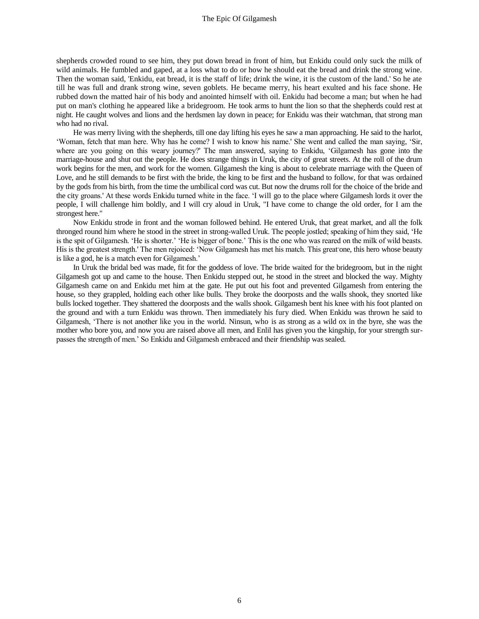shepherds crowded round to see him, they put down bread in front of him, but Enkidu could only suck the milk of wild animals. He fumbled and gaped, at a loss what to do or how he should eat the bread and drink the strong wine. Then the woman said, 'Enkidu, eat bread, it is the staff of life; drink the wine, it is the custom of the land.' So he ate till he was full and drank strong wine, seven goblets. He became merry, his heart exulted and his face shone. He rubbed down the matted hair of his body and anointed himself with oil. Enkidu had become a man; but when he had put on man's clothing he appeared like a bridegroom. He took arms to hunt the lion so that the shepherds could rest at night. He caught wolves and lions and the herdsmen lay down in peace; for Enkidu was their watchman, that strong man who had no rival.

He was merry living with the shepherds, till one day lifting his eyes he saw a man approaching. He said to the harlot, 'Woman, fetch that man here. Why has he come? I wish to know his name.' She went and called the man saying, 'Sir, where are you going on this weary journey?' The man answered, saying to Enkidu, 'Gilgamesh has gone into the marriage-house and shut out the people. He does strange things in Uruk, the city of great streets. At the roll of the drum work begins for the men, and work for the women. Gilgamesh the king is about to celebrate marriage with the Queen of Love, and he still demands to be first with the bride, the king to be first and the husband to follow, for that was ordained by the gods from his birth, from the time the umbilical cord was cut. But now the drums roll for the choice of the bride and the city groans.' At these words Enkidu turned white in the face. 'I will go to the place where Gilgamesh lords it over the people, I will challenge him boldly, and I will cry aloud in Uruk, "I have come to change the old order, for I am the strongest here."

Now Enkidu strode in front and the woman followed behind. He entered Uruk, that great market, and all the folk thronged round him where he stood in the street in strong-walled Uruk. The people jostled; speaking of him they said, 'He is the spit of Gilgamesh. 'He is shorter.' 'He is bigger of bone.' This is the one who was reared on the milk of wild beasts. His is the greatest strength.' The men rejoiced: 'Now Gilgamesh has met his match. This great-one, this hero whose beauty is like a god, he is a match even for Gilgamesh.'

In Uruk the bridal bed was made, fit for the goddess of love. The bride waited for the bridegroom, but in the night Gilgamesh got up and came to the house. Then Enkidu stepped out, he stood in the street and blocked the way. Mighty Gilgamesh came on and Enkidu met him at the gate. He put out his foot and prevented Gilgamesh from entering the house, so they grappled, holding each other like bulls. They broke the doorposts and the walls shook, they snorted like bulls locked together. They shattered the doorposts and the walls shook. Gilgamesh bent his knee with his foot planted on the ground and with a turn Enkidu was thrown. Then immediately his fury died. When Enkidu was thrown he said to Gilgamesh, 'There is not another like you in the world. Ninsun, who is as strong as a wild ox in the byre, she was the mother who bore you, and now you are raised above all men, and Enlil has given you the kingship, for your strength surpasses the strength of men.' So Enkidu and Gilgamesh embraced and their friendship was sealed.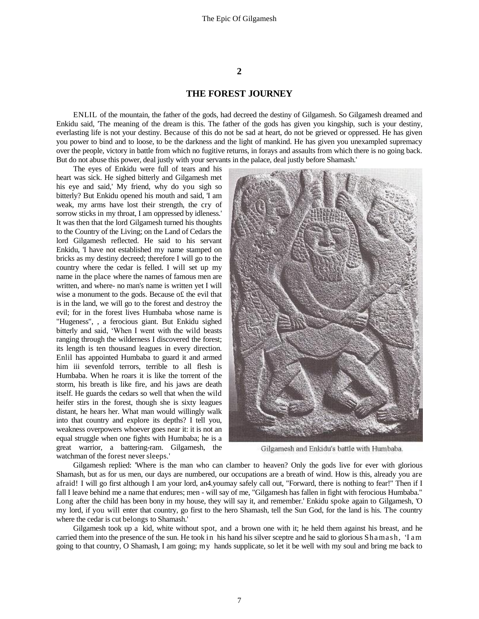#### **THE FOREST JOURNEY**

<span id="page-6-1"></span><span id="page-6-0"></span>ENLIL of the mountain, the father of the gods, had decreed the destiny of Gilgamesh. So Gilgamesh dreamed and Enkidu said, 'The meaning of the dream is this. The father of the gods has given you kingship, such is your destiny, everlasting life is not your destiny. Because of this do not be sad at heart, do not be grieved or oppressed. He has given you power to bind and to loose, to be the darkness and the light of mankind. He has given you unexampled supremacy over the people, victory in battle from which no fugitive returns, in forays and assaults from which there is no going back. But do not abuse this power, deal justly with your servants in the palace, deal justly before Shamash.'

The eyes of Enkidu were full of tears and his heart was sick. He sighed bitterly and Gilgamesh met his eye and said,' My friend, why do you sigh so bitterly? But Enkidu opened his mouth and said, 'I am weak, my arms have lost their strength, the cry of sorrow sticks in my throat, I am oppressed by idleness.' It was then that the lord Gilgamesh turned his thoughts to the Country of the Living; on the Land of Cedars the lord Gilgamesh reflected. He said to his servant Enkidu, 'I have not established my name stamped on bricks as my destiny decreed; therefore I will go to the country where the cedar is felled. I will set up my name in the place where the names of famous men are written, and where- no man's name is written yet I will wise a monument to the gods. Because o£ the evil that is in the land, we will go to the forest and destroy the evil; for in the forest lives Humbaba whose name is "Hugeness", , a ferocious giant. But Enkidu sighed bitterly and said, 'When I went with the wild beasts ranging through the wilderness I discovered the forest; its length is ten thousand leagues in every direction. Enlil has appointed Humbaba to guard it and armed him iii sevenfold terrors, terrible to all flesh is Humbaba. When he roars it is like the torrent of the storm, his breath is like fire, and his jaws are death itself. He guards the cedars so well that when the wild heifer stirs in the forest, though she is sixty leagues distant, he hears her. What man would willingly walk into that country and explore its depths? I tell you, weakness overpowers whoever goes near it: it is not an equal struggle when one fights with Humbaba; he is a great warrior, a battering-ram. Gilgamesh, the watchman of the forest never sleeps.'



Gilgamesh and Enkidu's battle with Humbaba.

Gilgamesh replied: 'Where is the man who can clamber to heaven? Only the gods live for ever with glorious Shamash, but as for us men, our days are numbered, our occupations are a breath of wind. How is this, already you are afraid! I will go first although I am your lord, an4.youmay safely call out, "Forward, there is nothing to fear!" Then if I fall I leave behind me a name that endures; men - will say of me, "Gilgamesh has fallen in fight with ferocious Humbaba." Long after the child has been bony in my house, they will say it, and remember.' Enkidu spoke again to Gilgamesh, 'O my lord, if you will enter that country, go first to the hero Shamash, tell the Sun God, for the land is his. The country where the cedar is cut belongs to Shamash.'

Gilgamesh took up a kid, white without spot, and a brown one with it; he held them against his breast, and he carried them into the presence of the sun. He took in his hand his silver sceptre and he said to glorious Shamash, 'I am going to that country, O Shamash, I am going; my hands supplicate, so let it be well with my soul and bring me back to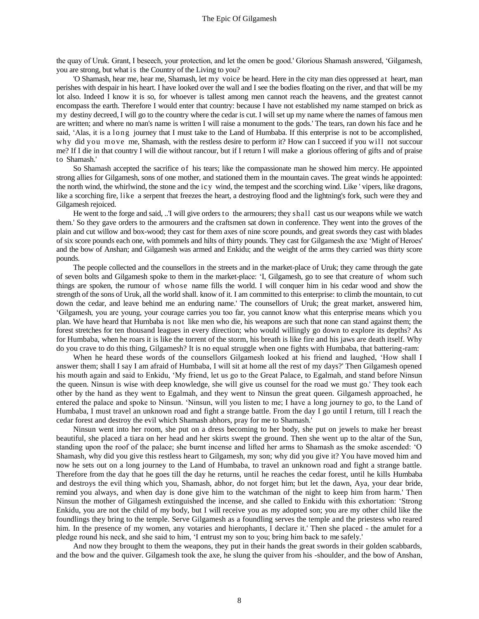the quay of Uruk. Grant, I beseech, your protection, and let the omen be good.' Glorious Shamash answered, 'Gilgamesh, you are strong, but what is the Country of the Living to you?

'O Shamash, hear me, hear me, Shamash, let my voice be heard. Here in the city man dies oppressed at heart, man perishes with despair in his heart. I have looked over the wall and I see the bodies floating on the river, and that will be my lot also. Indeed I know it is so, for whoever is tallest among men cannot reach the heavens, and the greatest cannot encompass the earth. Therefore I would enter that country: because I have not established my name stamped on brick as my destiny decreed, I will go to the country where the cedar is cut. I will set up my name where the names of famous men are written; and where no man's name is written I will raise a monument to the gods.' The tears, ran down his face and he said, 'Alas, it is a long journey that I must take to the Land of Humbaba. If this enterprise is not to be accomplished, why did you move me, Shamash, with the restless desire to perform it? How can I succeed if you will not succour me? If I die in that country I will die without rancour, but if I return I will make a glorious offering of gifts and of praise to Shamash.'

So Shamash accepted the sacrifice of his tears; like the compassionate man he showed him mercy. He appointed strong allies for Gilgamesh, sons of one mother, and stationed them in the mountain caves. The great winds he appointed: the north wind, the whirlwind, the stone and the icy wind, the tempest and the scorching wind. Like ' vipers, like dragons, like a scorching fire, like a serpent that freezes the heart, a destroying flood and the lightning's fork, such were they and Gilgamesh rejoiced.

He went to the forge and said, ..'I will give orders to the armourers; they shall cast us our weapons while we watch them.' So they gave orders to the armourers and the craftsmen sat down in conference. They went into the groves of the plain and cut willow and box-wood; they cast for them axes of nine score pounds, and great swords they cast with blades of six score pounds each one, with pommels and hilts of thirty pounds. They cast for Gilgamesh the axe 'Might of Heroes' and the bow of Anshan; and Gilgamesh was armed and Enkidu; and the weight of the arms they carried was thirty score pounds.

The people collected and the counsellors in the streets and in the market-place of Uruk; they came through the gate of seven bolts and Gilgamesh spoke to them in the market-place: 'I, Gilgamesh, go to see that creature of whom such things are spoken, the rumour of whose name fills the world. I will conquer him in his cedar wood and show the strength of the sons of Uruk, all the world shall. know of it. I am committed to this enterprise: to climb the mountain, to cut down the cedar, and leave behind me an enduring name.' The counsellors of Uruk; the great market, answered him, 'Gilgamesh, you are young, your courage carries you too far, you cannot know what this enterprise means which you plan. We have heard that Hurnbaba is not like men who die, his weapons are such that none can stand against them; the forest stretches for ten thousand leagues in every direction; who would willingly go down to explore its depths? As for Humbaba, when he roars it is like the torrent of the storm, his breath is like fire and his jaws are death itself. Why do you crave to do this thing, Gilgamesh? It is no equal struggle when one fights with Humbaba, that battering-ram:

When he heard these words of the counsellors Gilgamesh looked at his friend and laughed, 'How shall I answer them; shall I say I am afraid of Humbaba, I will sit at home all the rest of my days?' Then Gilgamesh opened his mouth again and said to Enkidu, 'My friend, let us go to the Great Palace, to Egalmah, and stand before Ninsun the queen. Ninsun is wise with deep knowledge, she will give us counsel for the road we must go.' They took each other by the hand as they went to Egalmah, and they went to Ninsun the great queen. Gilgamesh approached, he entered the palace and spoke to Ninsun. 'Ninsun, will you listen to me; I have a long journey to go, to the Land of Humbaba, I must travel an unknown road and fight a strange battle. From the day I go until I return, till I reach the cedar forest and destroy the evil which Shamash abhors, pray for me to Shamash.'

Ninsun went into her room, she put on a dress becoming to her body, she put on jewels to make her breast beautiful, she placed a tiara on her head and her skirts swept the ground. Then she went up to the altar of the Sun, standing upon the roof of the palace; she burnt incense and lifted her arms to Shamash as the smoke ascended: 'O Shamash, why did you give this restless heart to Gilgamesh, my son; why did you give it? You have moved him and now he sets out on a long journey to the Land of Humbaba, to travel an unknown road and fight a strange battle. Therefore from the day that he goes till the day he returns, until he reaches the cedar forest, until he kills Humbaba and destroys the evil thing which you, Shamash, abhor, do not forget him; but let the dawn, Aya, your dear bride, remind you always, and when day is done give him to the watchman of the night to keep him from harm.' Then Ninsun the mother of Gilgamesh extinguished the incense, and she called to Enkidu with this exhortation: 'Strong Enkidu, you are not the child of my body, but I will receive you as my adopted son; you are my other child like the foundlings they bring to the temple. Serve Gilgamesh as a foundling serves the temple and the priestess who reared him. In the presence of my women, any votaries and hierophants, I declare it.' Then she placed - the amulet for a pledge round his neck, and she said to him, 'I entrust my son to you; bring him back to me safely.'

And now they brought to them the weapons, they put in their hands the great swords in their golden scabbards, and the bow and the quiver. Gilgamesh took the axe, he slung the quiver from his -shoulder, and the bow of Anshan,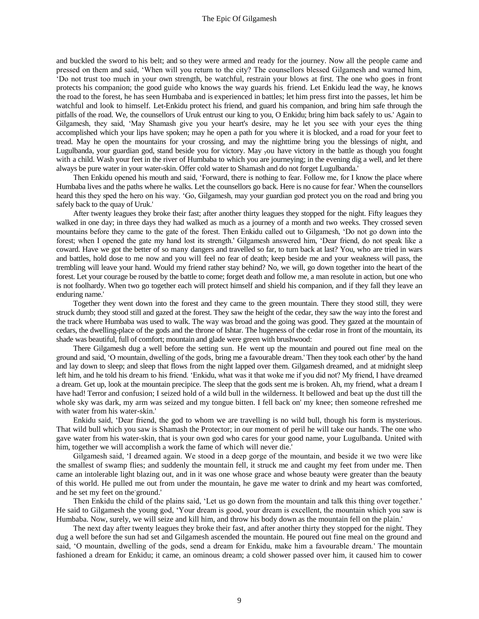and buckled the sword to his belt; and so they were armed and ready for the journey. Now all the people came and pressed on them and said, 'When will you return to the city? The counsellors blessed Gilgamesh and warned him, 'Do not trust too much in your own strength, be watchful, restrain your blows at first. The one who goes in front protects his companion; the good guide who knows the way guards his. friend. Let Enkidu lead the way, he knows the road to the forest, he has seen Humbaba and is experienced in battles; let him press first into the passes, let him be watchful and look to himself. Let-Enkidu protect his friend, and guard his companion, and bring him safe through the pitfalls of the road. We, the counsellors of Uruk entrust our king to you, O Enkidu; bring him back safely to us.' Again to Gilgamesh, they said, 'May Shamash give you your heart's desire, may he let you see with your eyes the thing accomplished which your lips have spoken; may he open a path for you where it is blocked, and a road for your feet to tread. May he open the mountains for your crossing, and may the nighttime bring you the blessings of night, and Lugulbanda, your guardian god, stand beside you for victory. May you have victory in the battle as though you fought with a child. Wash your feet in the river of Humbaba to which you are journeying; in the evening dig a well, and let there always be pure water in your water-skin. Offer cold water to Shamash and do not forget Lugulbanda.'

Then Enkidu opened his mouth and said, 'Forward, there is nothing to fear. Follow me, for I know the place where Humbaba lives and the paths where he walks. Let the counsellors go back. Here is no cause for fear.' When the counsellors heard this they sped the hero on his way. 'Go, Gilgamesh, may your guardian god protect you on the road and bring you safely back to the quay of Uruk.'

After twenty leagues they broke their fast; after another thirty leagues they stopped for the night. Fifty leagues they walked in one day; in three days they had walked as much as a journey of a month and two weeks. They crossed seven mountains before they came to the gate of the forest. Then Enkidu called out to Gilgamesh, 'Do not go down into the forest; when I opened the gate my hand lost its strength.' Gilgamesh answered him, 'Dear friend, do not speak like a coward. Have we got the better of so many dangers and travelled so far, to turn back at last? You, who are tried in wars and battles, hold dose to me now and you will feel no fear of death; keep beside me and your weakness will pass, the trembling will leave your hand. Would my friend rather stay behind? No, we will, go down together into the heart of the forest. Let your courage be roused by the battle to come; forget death and follow me, a man resolute in action, but one who is not foolhardy. When two go together each will protect himself and shield his companion, and if they fall they leave an enduring name.'

Together they went down into the forest and they came to the green mountain. There they stood still, they were struck dumb; they stood still and gazed at the forest. They saw the height of the cedar, they saw the way into the forest and the track where Humbaba was used to walk. The way was broad and the going was good. They gazed at the mountain of cedars, the dwelling-place of the gods and the throne of Ishtar. The hugeness of the cedar rose in front of the mountain, its shade was beautiful, full of comfort; mountain and glade were green with brushwood:

There Gilgamesh dug a well before the setting sun. He went up the mountain and poured out fine meal on the ground and said, 'O mountain, dwelling of the gods, bring me a favourable dream.' Then they took each other' by the hand and lay down to sleep; and sleep that flows from the night lapped over them. Gilgamesh dreamed, and at midnight sleep left him, and he told his dream to his friend. 'Enkidu, what was it that woke me if you did not? My friend, I have dreamed a dream. Get up, look at the mountain precipice. The sleep that the gods sent me is broken. Ah, my friend, what a dream I have had! Terror and confusion; I seized hold of a wild bull in the wilderness. It bellowed and beat up the dust till the whole sky was dark, my arm was seized and my tongue bitten. I fell back on' my knee; then someone refreshed me with water from his water-skin.'

Enkidu said, 'Dear friend, the god to whom we are travelling is no wild bull, though his form is mysterious. That wild bull which you saw is Shamash the Protector; in our moment of peril he will take our hands. The one who gave water from his water-skin, that is your own god who cares for your good name, your Lugulbanda. United with him, together we will accomplish a work the fame of which will never die.'

Gilgamesh said, 'I dreamed again. We stood in a deep gorge of the mountain, and beside it we two were like the smallest of swamp flies; and suddenly the mountain fell, it struck me and caught my feet from under me. Then came an intolerable light blazing out, and in it was one whose grace and whose beauty were greater than the beauty of this world. He pulled me out from under the mountain, he gave me water to drink and my heart was comforted, and he set my feet on the-ground.'

Then Enkidu the child of the plains said, 'Let us go down from the mountain and talk this thing over together.' He said to Gilgamesh the young god, 'Your dream is good, your dream is excellent, the mountain which you saw is Humbaba. Now, surely, we will seize and kill him, and throw his body down as the mountain fell on the plain.'

The next day after twenty leagues they broke their fast, and after another thirty they stopped for the night. They dug a well before the sun had set and Gilgamesh ascended the mountain. He poured out fine meal on the ground and said, 'O mountain, dwelling of the gods, send a dream for Enkidu, make him a favourable dream.' The mountain fashioned a dream for Enkidu; it came, an ominous dream; a cold shower passed over him, it caused him to cower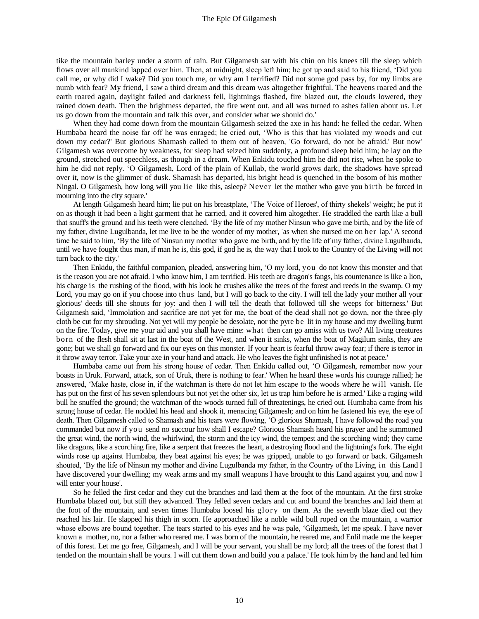tike the mountain barley under a storm of rain. But Gilgamesh sat with his chin on his knees till the sleep which flows over all mankind lapped over him. Then, at midnight, sleep left him; he got up and said to his friend, 'Did you call me, or why did I wake? Did you touch me, or why am I terrified? Did not some god pass by, for my limbs are numb with fear? My friend, I saw a third dream and this dream was altogether frightful. The heavens roared and the earth roared again, daylight failed and darkness fell, lightnings flashed, fire blazed out, the clouds lowered, they rained down death. Then the brightness departed, the fire went out, and all was turned to ashes fallen about us. Let us go down from the mountain and talk this over, and consider what we should do.'

When they had come down from the mountain Gilgamesh seized the axe in his hand: he felled the cedar. When Humbaba heard the noise far off he was enraged; he cried out, 'Who is this that has violated my woods and cut down my cedar?' But glorious Shamash called to them out of heaven, 'Go forward, do not be afraid.' But now' Gilgamesh was overcome by weakness, for sleep had seized him suddenly, a profound sleep held him; he lay on the ground, stretched out speechless, as though in a dream. When Enkidu touched him he did not rise, when he spoke to him he did not reply. 'O Gilgamesh, Lord of the plain of Kullab, the world grows dark, the shadows have spread over it, now is the glimmer of dusk. Shamash has departed, his bright head is quenched in the bosom of his mother Ningal. O Gilgamesh, how long will you lie like this, asleep? Never let the mother who gave you birth be forced in mourning into the city square.'

At length Gilgamesh heard him; lie put on his breastplate, 'The Voice of Heroes', of thirty shekels' weight; he put it on as though it had been a light garment that he carried, and it covered him altogether. He straddled the earth like a bull that snuff's the ground and his teeth were clenched. 'By the life of my mother Ninsun who gave me birth, and by the life of my father, divine Lugulbanda, let me live to be the wonder of my mother, as when she nursed me on her lap.' A second time he said to him, 'By the life of Ninsun my mother who gave me birth, and by the life of my father, divine Lugulbanda, until we have fought thus man, if man he is, this god, if god he is, the way that I took to the Country of the Living will not turn back to the city.'

Then Enkidu, the faithful companion, pleaded, answering him, 'O my lord, you do not know this monster and that is the reason you are not afraid. I who know him, I am terrified. His teeth are dragon's fangs, his countenance is like a lion, his charge is the rushing of the flood, with his look he crushes alike the trees of the forest and reeds in the swamp. O my Lord, you may go on if you choose into thus land, but I will go back to the city. I will tell the lady your mother all your glorious' deeds till she shouts for joy: and then I will tell the death that followed till she weeps for bitterness.' But Gilgamesh said, 'Immolation and sacrifice are not yet for me, the boat of the dead shall not go down, nor the three-ply cloth be cut for my shrouding. Not yet will my people be desolate, nor the pyre be lit in my house and my dwelling burnt on the fire. Today, give me your aid and you shall have mine: what then can go amiss with us two? All living creatures born of the flesh shall sit at last in the boat of the West, and when it sinks, when the boat of Magilum sinks, they are gone; but we shall go forward and fix our eyes on this monster. If your heart is fearful throw away fear; if there is terror in it throw away terror. Take your axe in your hand and attack. He who leaves the fight unfinished is not at peace.'

Humbaba came out from his strong house of cedar. Then Enkidu called out, 'O Gilgamesh, remember now your boasts in Uruk. Forward, attack, son of Uruk, there is nothing to fear.' When he heard these words his courage rallied; he answered, 'Make haste, close in, if the watchman is there do not let him escape to the woods where he will vanish. He has put on the first of his seven splendours but not yet the other six, let us trap him before he is armed.' Like a raging wild bull he snuffed the ground; the watchman of the woods turned full of threatenings, he cried out. Humbaba came from his strong house of cedar. He nodded his head and shook it, menacing Gilgamesh; and on him he fastened his eye, the eye of death. Then Gilgamesh called to Shamash and his tears were flowing, 'O glorious Shamash, I have followed the road you commanded but now if you send no succour how shall I escape? Glorious Shamash heard his prayer and he summoned the great wind, the north wind, the whirlwind, the storm and the icy wind, the tempest and the scorching wind; they came like dragons, like a scorching fire, like a serpent that freezes the heart, a destroying flood and the lightning's fork. The eight winds rose up against Humbaba, they beat against his eyes; he was gripped, unable to go forward or back. Gilgamesh shouted, 'By the life of Ninsun my mother and divine Lugulbanda my father, in the Country of the Living, in this Land I have discovered your dwelling; my weak arms and my small weapons I have brought to this Land against you, and now I will enter your house'.

So he felled the first cedar and they cut the branches and laid them at the foot of the mountain. At the first stroke Humbaba blazed out, but still they advanced. They felled seven cedars and cut and bound the branches and laid them at the foot of the mountain, and seven times Humbaba loosed his glory on them. As the seventh blaze died out they reached his lair. He slapped his thigh in scorn. He approached like a noble wild bull roped on the mountain, a warrior whose elbows are bound together. The tears started to his eyes and he was pale, 'Gilgamesh, let me speak. I have never known a mother, no, nor a father who reared me. I was born of the mountain, he reared me, and Enlil made me the keeper of this forest. Let me go free, Gilgamesh, and I will be your servant, you shall be my lord; all the trees of the forest that I tended on the mountain shall be yours. I will cut them down and build you a palace.' He took him by the hand and led him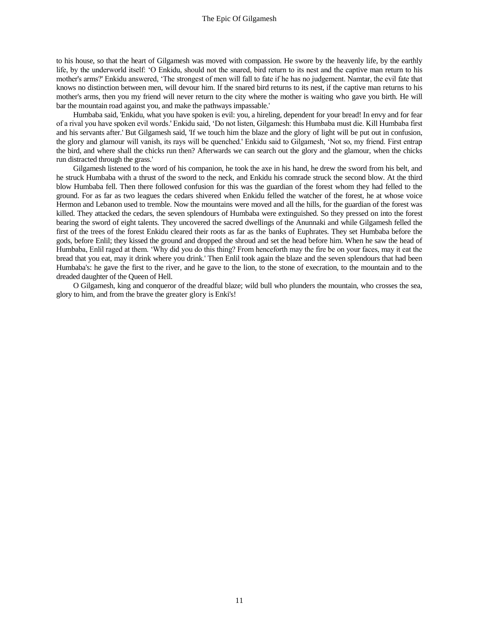to his house, so that the heart of Gilgamesh was moved with compassion. He swore by the heavenly life, by the earthly life, by the underworld itself: 'O Enkidu, should not the snared, bird return to its nest and the captive man return to his mother's arms?' Enkidu answered, 'The strongest of men will fall to fate if he has no judgement. Namtar, the evil fate that knows no distinction between men, will devour him. If the snared bird returns to its nest, if the captive man returns to his mother's arms, then you my friend will never return to the city where the mother is waiting who gave you birth. He will bar the mountain road against you, and make the pathways impassable.'

Humbaba said, 'Enkidu, what you have spoken is evil: you, a hireling, dependent for your bread! In envy and for fear of a rival you have spoken evil words.' Enkidu said, 'Do not listen, Gilgamesh: this Humbaba must die. Kill Humbaba first and his servants after.' But Gilgamesh said, 'If we touch him the blaze and the glory of light will be put out in confusion, the glory and glamour will vanish, its rays will be quenched.' Enkidu said to Gilgamesh, 'Not so, my friend. First entrap the bird, and where shall the chicks run then? Afterwards we can search out the glory and the glamour, when the chicks run distracted through the grass.'

Gilgamesh listened to the word of his companion, he took the axe in his hand, he drew the sword from his belt, and he struck Humbaba with a thrust of the sword to the neck, and Enkidu his comrade struck the second blow. At the third blow Humbaba fell. Then there followed confusion for this was the guardian of the forest whom they had felled to the ground. For as far as two leagues the cedars shivered when Enkidu felled the watcher of the forest, he at whose voice Hermon and Lebanon used to tremble. Now the mountains were moved and all the hills, for the guardian of the forest was killed. They attacked the cedars, the seven splendours of Humbaba were extinguished. So they pressed on into the forest bearing the sword of eight talents. They uncovered the sacred dwellings of the Anunnaki and while Gilgamesh felled the first of the trees of the forest Enkidu cleared their roots as far as the banks of Euphrates. They set Humbaba before the gods, before Enlil; they kissed the ground and dropped the shroud and set the head before him. When he saw the head of Humbaba, Enlil raged at them. 'Why did you do this thing? From henceforth may the fire be on your faces, may it eat the bread that you eat, may it drink where you drink.' Then Enlil took again the blaze and the seven splendours that had been Humbaba's: he gave the first to the river, and he gave to the lion, to the stone of execration, to the mountain and to the dreaded daughter of the Queen of Hell.

O Gilgamesh, king and conqueror of the dreadful blaze; wild bull who plunders the mountain, who crosses the sea, glory to him, and from the brave the greater glory is Enki's!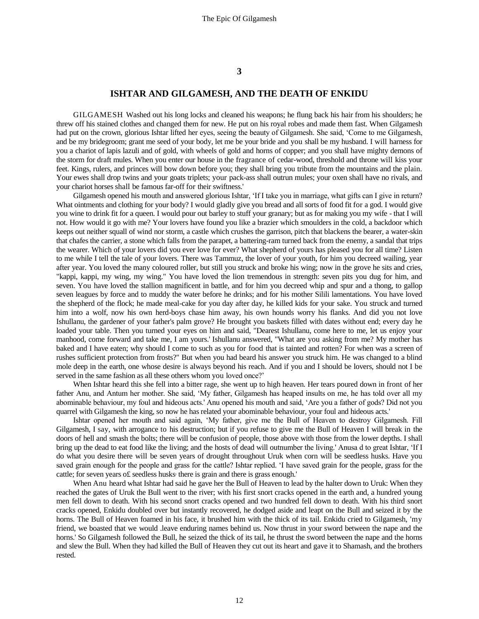#### **ISHTAR AND GILGAMESH, AND THE DEATH OF ENKIDU**

<span id="page-11-1"></span><span id="page-11-0"></span>GILGAMESH Washed out his long locks and cleaned his weapons; he flung back his hair from his shoulders; he threw off his stained clothes and changed them for new. He put on his royal robes and made them fast. When Gilgamesh had put on the crown, glorious Ishtar lifted her eyes, seeing the beauty of Gilgamesh. She said, 'Come to me Gilgamesh, and be my bridegroom; grant me seed of your body, let me be your bride and you shall be my husband. I will harness for you a chariot of lapis lazuli and of gold, with wheels of gold and horns of copper; and you shall have mighty demons of the storm for draft mules. When you enter our house in the fragrance of cedar-wood, threshold and throne will kiss your feet. Kings, rulers, and princes will bow down before you; they shall bring you tribute from the mountains and the plain. Your ewes shall drop twins and your goats triplets; your pack-ass shall outrun mules; your oxen shall have no rivals, and your chariot horses shall be famous far-off for their swiftness.'

Gilgamesh opened his mouth and answered glorious Ishtar, 'If I take you in marriage, what gifts can I give in return? What ointments and clothing for your body? I would gladly give you bread and all sorts of food fit for a god. I would give you wine to drink fit for a queen. I would pour out barley to stuff your granary; but as for making you my wife - that I will not. How would it go with me? Your lovers have found you like a brazier which smoulders in the cold, a backdoor which keeps out neither squall of wind nor storm, a castle which crushes the garrison, pitch that blackens the bearer, a water-skin that chafes the carrier, a stone which falls from the parapet, a battering-ram turned back from the enemy, a sandal that trips the wearer. Which of your lovers did you ever love for ever? What shepherd of yours has pleased you for all time? Listen to me while I tell the tale of your lovers. There was Tammuz, the lover of your youth, for him you decreed wailing, year after year. You loved the many coloured roller, but still you struck and broke his wing; now in the grove he sits and cries, "kappi, kappi, my wing, my wing." You have loved the lion tremendous in strength: seven pits you dug for him, and seven. You have loved the stallion magnificent in battle, and for him you decreed whip and spur and a thong, to gallop seven leagues by force and to muddy the water before he drinks; and for his mother Silili lamentations. You have loved the shepherd of the flock; he made meal-cake for you day after day, he killed kids for your sake. You struck and turned him into a wolf, now his own herd-boys chase him away, his own hounds worry his flanks. And did you not love Ishullanu, the gardener of your father's palm grove? He brought you baskets filled with dates without end; every day he loaded your table. Then you turned your eyes on him and said, "Dearest Ishullanu, come here to me, let us enjoy your manhood, come forward and take me, I am yours.' Ishullanu answered, "What are you asking from me? My mother has baked and I have eaten; why should I come to such as you for food that is tainted and rotten? For when was a screen of rushes sufficient protection from frosts?" But when you had beard his answer you struck him. He was changed to a blind mole deep in the earth, one whose desire is always beyond his reach. And if you and I should be lovers, should not I be served in the same fashion as all these others whom you loved once?'

When Ishtar heard this she fell into a bitter rage, she went up to high heaven. Her tears poured down in front of her father Anu, and Antum her mother. She said, 'My father, Gilgamesh has heaped insults on me, he has told over all my abominable behaviour, my foul and hideous acts.' Anu opened his mouth and said, 'Are you a father of gods? Did not you quarrel with Gilgamesh the king, so now he has related your abominable behaviour, your foul and hideous acts.'

Ishtar opened her mouth and said again, 'My father, give me the Bull of Heaven to destroy Gilgamesh. Fill Gilgamesh, I say, with arrogance to his destruction; but if you refuse to give me the Bull of Heaven I will break in the doors of hell and smash the bolts; there will be confusion of people, those above with those from the lower depths. I shall bring up the dead to eat food like the living; and the hosts of dead will outnumber the living.' Anusa d to great Ishtar, 'If I do what you desire there will be seven years of drought throughout Uruk when corn will be seedless husks. Have you saved grain enough for the people and grass for the cattle? Ishtar replied. 'I have saved grain for the people, grass for the cattle; for seven years of seedless husks there is grain and there is grass enough.'

When Anu heard what Ishtar had said he gave her the Bull of Heaven to lead by the halter down to Uruk: When they reached the gates of Uruk the Bull went to the river; with his first snort cracks opened in the earth and, a hundred young men fell down to death. With his second snort cracks opened and two hundred fell down to death. With his third snort cracks opened, Enkidu doubled over but instantly recovered, he dodged aside and leapt on the Bull and seized it by the horns. The Bull of Heaven foamed in his face, it brushed him with the thick of its tail. Enkidu cried to Gilgamesh, 'my friend, we boasted that we would .leave enduring names behind us. Now thrust in your sword between the nape and the horns.' So Gilgamesh followed the Bull, he seized the thick of its tail, he thrust the sword between the nape and the horns and slew the Bull. When they had killed the Bull of Heaven they cut out its heart and gave it to Shamash, and the brothers rested.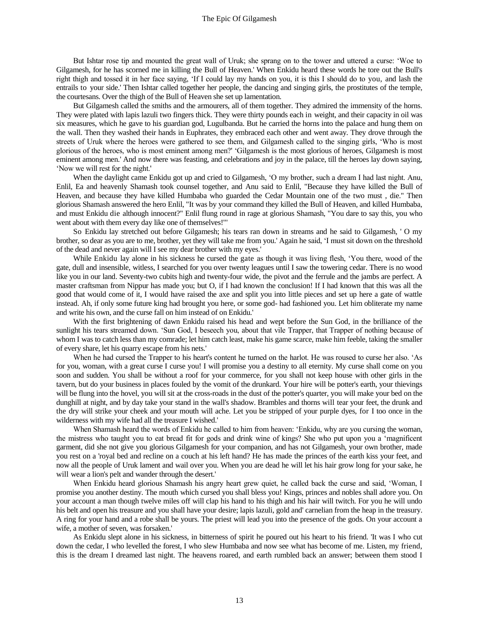But Ishtar rose tip and mounted the great wall of Uruk; she sprang on to the tower and uttered a curse: 'Woe to Gilgamesh, for he has scorned me in killing the Bull of Heaven.' When Enkidu heard these words he tore out the Bull's right thigh and tossed it in her face saying, 'If I could lay my hands on you, it is this I should do to you, and lash the entrails to your side.' Then Ishtar called together her people, the dancing and singing girls, the prostitutes of the temple, the courtesans. Over the thigh of the Bull of Heaven she set up lamentation.

But Gilgamesh called the smiths and the armourers, all of them together. They admired the immensity of the horns. They were plated with lapis lazuli two fingers thick. They were thirty pounds each in weight, and their capacity in oil was six measures, which he gave to his guardian god, Lugulbanda. But he carried the horns into the palace and hung them on the wall. Then they washed their hands in Euphrates, they embraced each other and went away. They drove through the streets of Uruk where the heroes were gathered to see them, and Gilgamesh called to the singing girls, 'Who is most glorious of the heroes, who is most eminent among men?' 'Gilgamesh is the most glorious of heroes, Gilgamesh is most eminent among men.' And now there was feasting, and celebrations and joy in the palace, till the heroes lay down saying, 'Now we will rest for the night.'

When the daylight came Enkidu got up and cried to Gilgamesh, 'O my brother, such a dream I had last night. Anu, Enlil, Ea and heavenly Shamash took counsel together, and Anu said to Enlil, "Because they have killed the Bull of Heaven, and because they have killed Humbaba who guarded the Cedar Mountain one of the two must , die." Then glorious Shamash answered the hero Enlil, "It was by your command they killed the Bull of Heaven, and killed Humbaba, and must Enkidu die although innocent?" Enlil flung round in rage at glorious Shamash, "You dare to say this, you who went about with them every day like one of themselves!"'

So Enkidu lay stretched out before Gilgamesh; his tears ran down in streams and he said to Gilgamesh, ' O my brother, so dear as you are to me, brother, yet they will take me from you.' Again he said, 'I must sit down on the threshold of the dead and never again will I see my dear brother with my eyes.'

While Enkidu lay alone in his sickness he cursed the gate as though it was living flesh, 'You there, wood of the gate, dull and insensible, witless, I searched for you over twenty leagues until I saw the towering cedar. There is no wood like you in our land. Seventy-two cubits high and twenty-four wide, the pivot and the ferrule and the jambs are perfect. A master craftsman from Nippur has made you; but O, if I had known the conclusion! If I had known that this was all the good that would come of it, I would have raised the axe and split you into little pieces and set up here a gate of wattle instead. Ah, if only some future king had brought you here, or some god- had fashioned you. Let him obliterate my name and write his own, and the curse fall on him instead of on Enkidu.'

With the first brightening of dawn Enkidu raised his head and wept before the Sun God, in the brilliance of the sunlight his tears streamed down. 'Sun God, I beseech you, about that vile Trapper, that Trapper of nothing because of whom I was to catch less than my comrade; let him catch least, make his game scarce, make him feeble, taking the smaller of every share, let his quarry escape from his nets.'

When he had cursed the Trapper to his heart's content he turned on the harlot. He was roused to curse her also. 'As for you, woman, with a great curse I curse you! I will promise you a destiny to all eternity. My curse shall come on you soon and sudden. You shall be without a roof for your commerce, for you shall not keep house with other girls in the tavern, but do your business in places fouled by the vomit of the drunkard. Your hire will be potter's earth, your thievings will be flung into the hovel, you will sit at the cross-roads in the dust of the potter's quarter, you will make your bed on the dunghill at night, and by day take your stand in the wall's shadow. Brambles and thorns will tear your feet, the drunk and the dry will strike your cheek and your mouth will ache. Let you be stripped of your purple dyes, for I too once in the wilderness with my wife had all the treasure I wished.'

When Shamash heard the words of Enkidu he called to him from heaven: 'Enkidu, why are you cursing the woman, the mistress who taught you to eat bread fit for gods and drink wine of kings? She who put upon you a 'magnificent garment, did she not give you glorious Gilgamesh for your companion, and has not Gilgamesh, your own brother, made you rest on a 'royal bed and recline on a couch at his left hand? He has made the princes of the earth kiss your feet, and now all the people of Uruk lament and wail over you. When you are dead he will let his hair grow long for your sake, he will wear a lion's pelt and wander through the desert.'

When Enkidu heard glorious Shamash his angry heart grew quiet, he called back the curse and said, 'Woman, I promise you another destiny. The mouth which cursed you shall bless you! Kings, princes and nobles shall adore you. On your account a man though twelve miles off will clap his hand to his thigh and his hair will twitch. For you he will undo his belt and open his treasure and you shall have your desire; lapis lazuli, gold and' carnelian from the heap in the treasury. A ring for your hand and a robe shall be yours. The priest will lead you into the presence of the gods. On your account a wife, a mother of seven, was forsaken.'

As Enkidu slept alone in his sickness, in bitterness of spirit he poured out his heart to his friend. 'It was I who cut down the cedar, I who levelled the forest, I who slew Humbaba and now see what has become of me. Listen, my friend, this is the dream I dreamed last night. The heavens roared, and earth rumbled back an answer; between them stood I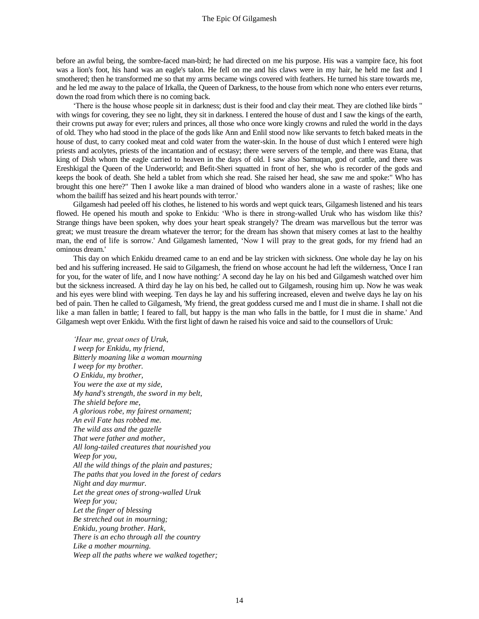before an awful being, the sombre-faced man-bird; he had directed on me his purpose. His was a vampire face, his foot was a lion's foot, his hand was an eagle's talon. He fell on me and his claws were in my hair, he held me fast and I smothered; then he transformed me so that my arms became wings covered with feathers. He turned his stare towards me, and he led me away to the palace of Irkalla, the Queen of Darkness, to the house from which none who enters ever returns, down the road from which there is no coming back.

'There is the house whose people sit in darkness; dust is their food and clay their meat. They are clothed like birds " with wings for covering, they see no light, they sit in darkness. I entered the house of dust and I saw the kings of the earth, their crowns put away for ever; rulers and princes, all those who once wore kingly crowns and ruled the world in the days of old. They who had stood in the place of the gods like Ann and Enlil stood now like servants to fetch baked meats in the house of dust, to carry cooked meat and cold water from the water-skin. In the house of dust which I entered were high priests and acolytes, priests of the incantation and of ecstasy; there were servers of the temple, and there was Etana, that king of Dish whom the eagle carried to heaven in the days of old. I saw also Samuqan, god of cattle, and there was Ereshkigal the Queen of the Underworld; and Befit-Sheri squatted in front of her, she who is recorder of the gods and keeps the book of death. She held a tablet from which she read. She raised her head, she saw me and spoke:" Who has brought this one here?" Then I awoke like a man drained of blood who wanders alone in a waste of rashes; like one whom the bailiff has seized and his heart pounds with terror.'

Gilgamesh had peeled off his clothes, he listened to his words and wept quick tears, Gilgamesh listened and his tears flowed. He opened his mouth and spoke to Enkidu: 'Who is there in strong-walled Uruk who has wisdom like this? Strange things have been spoken, why does your heart speak strangely? The dream was marvellous but the terror was great; we must treasure the dream whatever the terror; for the dream has shown that misery comes at last to the healthy man, the end of life is sorrow.' And Gilgamesh lamented, 'Now I will pray to the great gods, for my friend had an ominous dream.'

This day on which Enkidu dreamed came to an end and be lay stricken with sickness. One whole day he lay on his bed and his suffering increased. He said to Gilgamesh, the friend on whose account he had left the wilderness, 'Once I ran for you, for the water of life, and I now have nothing:' A second day he lay on his bed and Gilgamesh watched over him but the sickness increased. A third day he lay on his bed, he called out to Gilgamesh, rousing him up. Now he was weak and his eyes were blind with weeping. Ten days he lay and his suffering increased, eleven and twelve days he lay on his bed of pain. Then he called to Gilgamesh, 'My friend, the great goddess cursed me and I must die in shame. I shall not die like a man fallen in battle; I feared to fall, but happy is the man who falls in the battle, for I must die in shame.' And Gilgamesh wept over Enkidu. With the first light of dawn he raised his voice and said to the counsellors of Uruk:

*'Hear me, great ones of Uruk, I weep for Enkidu, my friend, Bitterly moaning like a woman mourning I weep for my brother. O Enkidu, my brother, You were the axe at my side, My hand's strength, the sword in my belt, The shield before me, A glorious robe, my fairest ornament; An evil Fate has robbed me. The wild ass and the gazelle That were father and mother, All long-tailed creatures that nourished you Weep for you, All the wild things of the plain and pastures; The paths that you loved in the forest of cedars Night and day murmur. Let the great ones of strong-walled Uruk Weep for you; Let the finger of blessing Be stretched out in mourning; Enkidu, young brother. Hark, There is an echo through all the country Like a mother mourning. Weep all the paths where we walked together;*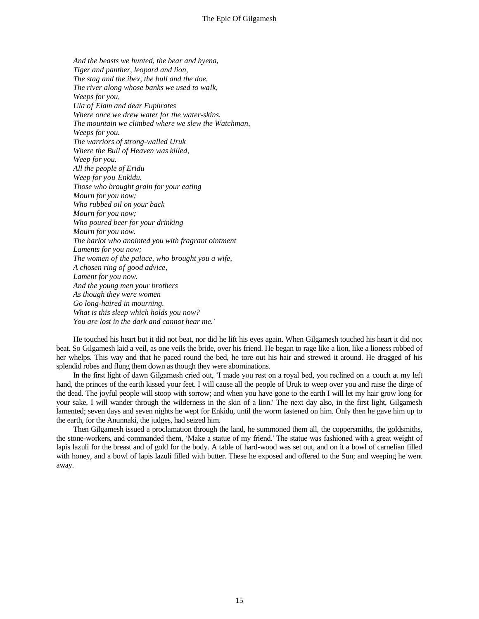*And the beasts we hunted, the bear and hyena, Tiger and panther, leopard and lion, The stag and the ibex, the bull and the doe. The river along whose banks we used to walk, Weeps for you, Ula of Elam and dear Euphrates Where once we drew water for the water-skins. The mountain we climbed where we slew the Watchman, Weeps for you. The warriors of strong-walled Uruk Where the Bull of Heaven was killed, Weep for you. All the people of Eridu Weep for you Enkidu. Those who brought grain for your eating Mourn for you now; Who rubbed oil on your back Mourn for you now; Who poured beer for your drinking Mourn for you now. The harlot who anointed you with fragrant ointment Laments for you now; The women of the palace, who brought you a wife, A chosen ring of good advice, Lament for you now. And the young men your brothers As though they were women Go long-haired in mourning. What is this sleep which holds you now? You are lost in the dark and cannot hear me.'*

He touched his heart but it did not beat, nor did he lift his eyes again. When Gilgamesh touched his heart it did not beat. So Gilgamesh laid a veil, as one veils the bride, over his friend. He began to rage like a lion, like a lioness robbed of her whelps. This way and that he paced round the bed, he tore out his hair and strewed it around. He dragged of his splendid robes and flung them down as though they were abominations.

In the first light of dawn Gilgamesh cried out, 'I made you rest on a royal bed, you reclined on a couch at my left hand, the princes of the earth kissed your feet. I will cause all the people of Uruk to weep over you and raise the dirge of the dead. The joyful people will stoop with sorrow; and when you have gone to the earth I will let my hair grow long for your sake, I will wander through the wilderness in the skin of a lion.' The next day also, in the first light, Gilgamesh lamented; seven days and seven nights he wept for Enkidu, until the worm fastened on him. Only then he gave him up to the earth, for the Anunnaki, the judges, had seized him.

Then Gilgamesh issued a proclamation through the land, he summoned them all, the coppersmiths, the goldsmiths, the stone-workers, and commanded them, 'Make a statue of my friend.' The statue was fashioned with a great weight of lapis lazuli for the breast and of gold for the body. A table of hard-wood was set out, and on it a bowl of carnelian filled with honey, and a bowl of lapis lazuli filled with butter. These he exposed and offered to the Sun; and weeping he went away.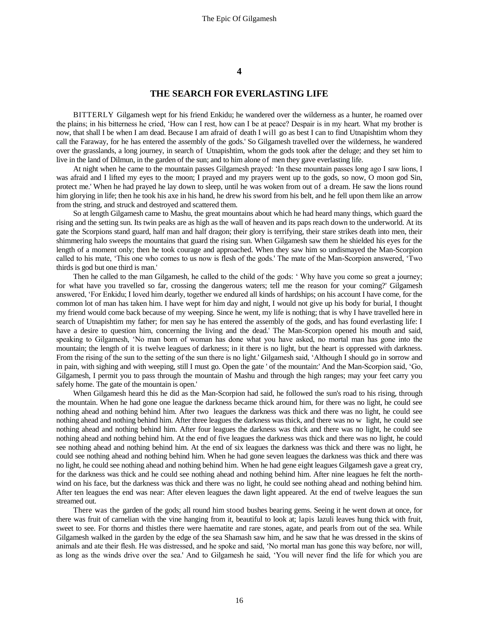#### **THE SEARCH FOR EVERLASTING LIFE**

<span id="page-15-1"></span><span id="page-15-0"></span>BITTERLY Gilgamesh wept for his friend Enkidu; he wandered over the wilderness as a hunter, he roamed over the plains; in his bitterness he cried, 'How can I rest, how can I be at peace? Despair is in my heart. What my brother is now, that shall I be when I am dead. Because I am afraid of death I will go as best I can to find Utnapishtim whom they call the Faraway, for he has entered the assembly of the gods.' So Gilgamesh travelled over the wilderness, he wandered over the grasslands, a long journey, in search of Utnapishtim, whom the gods took after the deluge; and they set him to live in the land of Dilmun, in the garden of the sun; and to him alone of men they gave everlasting life.

At night when he came to the mountain passes Gilgamesh prayed: 'In these mountain passes long ago I saw lions, I was afraid and I lifted my eyes to the moon; I prayed and my prayers went up to the gods, so now, O moon god Sin, protect me.' When he had prayed he lay down to sleep, until he was woken from out of a dream. He saw the lions round him glorying in life; then he took his axe in his hand, he drew his sword from his belt, and he fell upon them like an arrow from the string, and struck and destroyed and scattered them.

So at length Gilgamesh came to Mashu, the great mountains about which he had heard many things, which guard the rising and the setting sun. Its twin peaks are as high as the wall of heaven and its paps reach down to the underworld. At its gate the Scorpions stand guard, half man and half dragon; their glory is terrifying, their stare strikes death into men, their shimmering halo sweeps the mountains that guard the rising sun. When Gilgamesh saw them he shielded his eyes for the length of a moment only; then he took courage and approached. When they saw him so undismayed the Man-Scorpion called to his mate, 'This one who comes to us now is flesh of the gods.' The mate of the Man-Scorpion answered, 'Two thirds is god but one third is man.'

Then he called to the man Gilgamesh, he called to the child of the gods: ' Why have you come so great a journey; for what have you travelled so far, crossing the dangerous waters; tell me the reason for your coming?' Gilgamesh answered, 'For Enkidu; I loved him dearly, together we endured all kinds of hardships; on his account I have come, for the common lot of man has taken him. I have wept for him day and night, I would not give up his body for burial, I thought my friend would come back because of my weeping. Since he went, my life is nothing; that is why I have travelled here in search of Utnapishtim my father; for men say he has entered the assembly of the gods, and has found everlasting life: I have a desire to question him, concerning the living and the dead.' The Man-Scorpion opened his mouth and said, speaking to Gilgamesh, 'No man born of woman has done what you have asked, no mortal man has gone into the mountain; the length of it is twelve leagues of darkness; in it there is no light, but the heart is oppressed with darkness. From the rising of the sun to the setting of the sun there is no light.' Gilgamesh said, 'Although I should go in sorrow and in pain, with sighing and with weeping, still I must go. Open the gate ' of the mountain:' And the Man-Scorpion said, 'Go, Gilgamesh, I permit you to pass through the mountain of Mashu and through the high ranges; may your feet carry you safely home. The gate of the mountain is open.'

When Gilgamesh heard this he did as the Man-Scorpion had said, he followed the sun's road to his rising, through the mountain. When he had gone one league the darkness became thick around him, for there was no light, he could see nothing ahead and nothing behind him. After two leagues the darkness was thick and there was no light, he could see nothing ahead and nothing behind him. After three leagues the darkness was thick, and there was no w light, he could see nothing ahead and nothing behind him. After four leagues the darkness was thick and there was no light, he could see nothing ahead and nothing behind him. At the end of five leagues the darkness was thick and there was no light, he could see nothing ahead and nothing behind him. At the end of six leagues the darkness was thick and there was no light, he could see nothing ahead and nothing behind him. When he had gone seven leagues the darkness was thick and there was no light, he could see nothing ahead and nothing behind him. When he had gene eight leagues Gilgamesh gave a great cry, for the darkness was thick and he could see nothing ahead and nothing behind him. After nine leagues he felt the northwind on his face, but the darkness was thick and there was no light, he could see nothing ahead and nothing behind him. After ten leagues the end was near: After eleven leagues the dawn light appeared. At the end of twelve leagues the sun streamed out.

There was the garden of the gods; all round him stood bushes bearing gems. Seeing it he went down at once, for there was fruit of carnelian with the vine hanging from it, beautiful to look at; lapis lazuli leaves hung thick with fruit, sweet to see. For thorns and thistles there were haematite and rare stones, agate, and pearls from out of the sea. While Gilgamesh walked in the garden by the edge of the sea Shamash saw him, and he saw that he was dressed in the skins of animals and ate their flesh. He was distressed, and he spoke and said, 'No mortal man has gone this way before, nor will, as long as the winds drive over the sea.' And to Gilgamesh he said, 'You will never find the life for which you are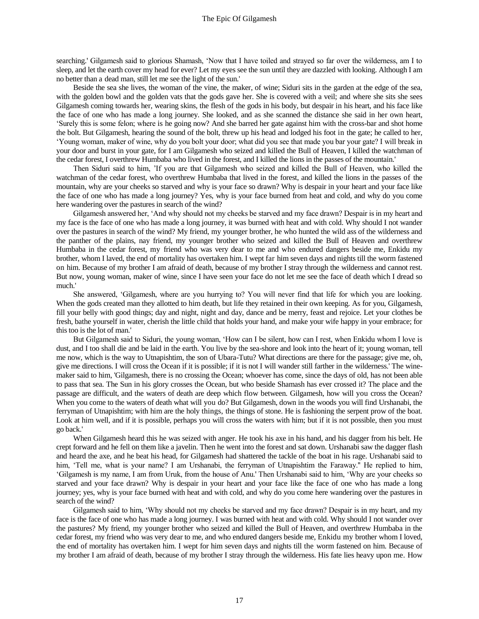searching.' Gilgamesh said to glorious Shamash, 'Now that I have toiled and strayed so far over the wilderness, am I to sleep, and let the earth cover my head for ever? Let my eyes see the sun until they are dazzled with looking. Although I am no better than a dead man, still let me see the light of the sun.'

Beside the sea she lives, the woman of the vine, the maker, of wine; Siduri sits in the garden at the edge of the sea, with the golden bowl and the golden vats that the gods gave her. She is covered with a veil; and where she sits she sees Gilgamesh coming towards her, wearing skins, the flesh of the gods in his body, but despair in his heart, and his face like the face of one who has made a long journey. She looked, and as she scanned the distance she said in her own heart, 'Surely this is some felon; where is he going now? And she barred her gate against him with the cross-bar and shot home the bolt. But Gilgamesh, hearing the sound of the bolt, threw up his head and lodged his foot in the gate; he called to her, 'Young woman, maker of wine, why do you bolt your door; what did you see that made you bar your gate? I will break in your door and burst in your gate, for I am Gilgamesh who seized and killed the Bull of Heaven, I killed the watchman of the cedar forest, I overthrew Humbaba who lived in the forest, and I killed the lions in the passes of the mountain.'

Then Siduri said to him, 'If you are that Gilgamesh who seized and killed the Bull of Heaven, who killed the watchman of the cedar forest, who overthrew Humbaba that lived in the forest, and killed the lions in the passes of the mountain, why are your cheeks so starved and why is your face so drawn? Why is despair in your heart and your face like the face of one who has made a long journey? Yes, why is your face burned from heat and cold, and why do you come here wandering over the pastures in search of the wind?

Gilgamesh answered her, 'And why should not my cheeks be starved and my face drawn? Despair is in my heart and my face is the face of one who has made a long journey, it was burned with heat and with cold. Why should I not wander over the pastures in search of the wind? My friend, my younger brother, he who hunted the wild ass of the wilderness and the panther of the plains, nay friend, my younger brother who seized and killed the Bull of Heaven and overthrew Humbaba in the cedar forest, my friend who was very dear to me and who endured dangers beside me, Enkidu my brother, whom I laved, the end of mortality has overtaken him. I wept far him seven days and nights till the worm fastened on him. Because of my brother I am afraid of death, because of my brother I stray through the wilderness and cannot rest. But now, young woman, maker of wine, since I have seen your face do not let me see the face of death which I dread so much.'

She answered, 'Gilgamesh, where are you hurrying to? You will never find that life for which you are looking. When the gods created man they allotted to him death, but life they retained in their own keeping. As for you, Gilgamesh, fill your belly with good things; day and night, night and day, dance and be merry, feast and rejoice. Let your clothes be fresh, bathe yourself in water, cherish the little child that holds your hand, and make your wife happy in your embrace; for this too is the lot of man.'

But Gilgamesh said to Siduri, the young woman, 'How can I be silent, how can I rest, when Enkidu whom I love is dust, and I too shall die and be laid in the earth. You live by the sea-shore and look into the heart of it; young woman, tell me now, which is the way to Utnapishtim, the son of Ubara-Tutu? What directions are there for the passage; give me, oh, give me directions. I will cross the Ocean if it is possible; if it is not I will wander still farther in the wilderness.' The winemaker said to him, 'Gilgamesh, there is no crossing the Ocean; whoever has come, since the days of old, has not been able to pass that sea. The Sun in his glory crosses the Ocean, but who beside Shamash has ever crossed it? The place and the passage are difficult, and the waters of death are deep which flow between. Gilgamesh, how will you cross the Ocean? When you come to the waters of death what will you do? But Gilgamesh, down in the woods you will find Urshanabi, the ferryman of Utnapishtim; with him are the holy things, the things of stone. He is fashioning the serpent prow of the boat. Look at him well, and if it is possible, perhaps you will cross the waters with him; but if it is not possible, then you must go back.'

When Gilgamesh heard this he was seized with anger. He took his axe in his hand, and his dagger from his belt. He crept forward and he fell on them like a javelin. Then he went into the forest and sat down. Urshanabi saw the dagger flash and heard the axe, and he beat his head, for Gilgamesh had shattered the tackle of the boat in his rage. Urshanabi said to him, 'Tell me, what is your name? I am Urshanabi, the ferryman of Utnapishtim the Faraway." He replied to him, 'Gilgamesh is my name, I am from Uruk, from the house of Anu.' Then Urshanabi said to him, 'Why are your cheeks so starved and your face drawn? Why is despair in your heart and your face like the face of one who has made a long journey; yes, why is your face burned with heat and with cold, and why do you come here wandering over the pastures in search of the wind?

Gilgamesh said to him, 'Why should not my cheeks be starved and my face drawn? Despair is in my heart, and my face is the face of one who has made a long journey. I was burned with heat and with cold. Why should I not wander over the pastures? My friend, my younger brother who seized and killed the Bull of Heaven, and overthrew Humbaba in the cedar forest, my friend who was very dear to me, and who endured dangers beside me, Enkidu my brother whom I loved, the end of mortality has overtaken him. I wept for him seven days and nights till the worm fastened on him. Because of my brother I am afraid of death, because of my brother I stray through the wilderness. His fate lies heavy upon me. How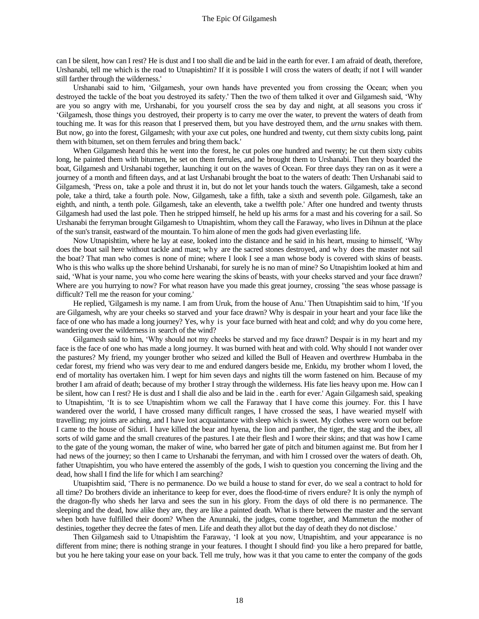can I be silent, how can I rest? He is dust and I too shall die and be laid in the earth for ever. I am afraid of death, therefore, Urshanabi, tell me which is the road to Utnapishtim? If it is possible I will cross the waters of death; if not I will wander still farther through the wilderness.'

Urshanabi said to him, 'Gilgamesh, your own hands have prevented you from crossing the Ocean; when you destroyed the tackle of the boat you destroyed its safety.' Then the two of them talked it over and Gilgamesh said, 'Why are you so angry with me, Urshanabi, for you yourself cross the sea by day and night, at all seasons you cross it' 'Gilgamesh, those things you destroyed, their property is to carry me over the water, to prevent the waters of death from touching me. It was for this reason that I preserved them, but you have destroyed them, and the *urnu* snakes with them. But now, go into the forest, Gilgamesh; with your axe cut poles, one hundred and twenty, cut them sixty cubits long, paint them with bitumen, set on them ferrules and bring them back.'

When Gilgamesh heard this he went into the forest, he cut poles one hundred and twenty; he cut them sixty cubits long, he painted them with bitumen, he set on them ferrules, and he brought them to Urshanabi. Then they boarded the boat, Gilgamesh and Urshanabi together, launching it out on the waves of Ocean. For three days they ran on as it were a journey of a month and fifteen days, and at last Urshanabi brought the boat to the waters of death: Then Urshanabi said to Gilgamesh, 'Press on, take a pole and thrust it in, but do not let your hands touch the waters. Gilgamesh, take a second pole, take a third, take a fourth pole. Now, Gilgamesh, take a fifth, take a sixth and seventh pole. Gilgamesh, take an eighth, and ninth, a tenth pole. Gilgamesh, take an eleventh, take a twelfth pole.' After one hundred and twenty thrusts Gilgamesh had used the last pole. Then he stripped himself, he held up his arms for a mast and his covering for a sail. So Urshanabi the ferryman brought Gilgamesh to Utnapishtim, whom they call the Faraway, who lives in Dihnun at the place of the sun's transit, eastward of the mountain. To him alone of men the gods had given everlasting life.

Now Utnapishtim, where he lay at ease, looked into the distance and he said in his heart, musing to himself, 'Why does the boat sail here without tackle and mast; why are the sacred stones destroyed, and why does the master not sail the boat? That man who comes is none of mine; where I look I see a man whose body is covered with skins of beasts. Who is this who walks up the shore behind Urshanabi, for surely he is no man of mine? So Utnapishtim looked at him and said, 'What is your name, you who come here wearing the skins of beasts, with your cheeks starved and your face drawn? Where are you hurrying to now? For what reason have you made this great journey, crossing "the seas whose passage is difficult? Tell me the reason for your coming.'

He replied, 'Gilgamesh is my name. I am from Uruk, from the house of Anu.' Then Utnapishtim said to him, 'If you are Gilgamesh, why are your cheeks so starved and your face drawn? Why is despair in your heart and your face like the face of one who has made a long journey? Yes, why is your face burned with heat and cold; and why do you come here, wandering over the wilderness in search of the wind?

Gilgamesh said to him, 'Why should not my cheeks be starved and my face drawn? Despair is in my heart and my face is the face of one who has made a long journey. It was burned with heat and with cold. Why should I not wander over the pastures? My friend, my younger brother who seized and killed the Bull of Heaven and overthrew Humbaba in the cedar forest, my friend who was very dear to me and endured dangers beside me, Enkidu, my brother whom I loved, the end of mortality has overtaken him. I wept for him seven days and nights till the worm fastened on him. Because of my brother I am afraid of death; because of my brother I stray through the wilderness. His fate lies heavy upon me. How can I be silent, how can I rest? He is dust and I shall die also and be laid in the . earth for ever.' Again Gilgamesh said, speaking to Utnapishtim, 'It is to see Utnapishtim whom we call the Faraway that I have come this journey. For. this I have wandered over the world, I have crossed many difficult ranges, I have crossed the seas, I have wearied myself with travelling; my joints are aching, and I have lost acquaintance with sleep which is sweet. My clothes were worn out before I came to the house of Siduri. I have killed the bear and hyena, the lion and panther, the tiger, the stag and the ibex, all sorts of wild game and the small creatures of the pastures. I ate their flesh and I wore their skins; and that was how I came to the gate of the young woman, the maker of wine, who barred her gate of pitch and bitumen against me. But from her I had news of the journey; so then I came to Urshanabi the ferryman, and with him I crossed over the waters of death. Oh, father Utnapishtim, you who have entered the assembly of the gods, I wish to question you concerning the living and the dead, how shall I find the life for which I am searching?

Utuapishtim said, 'There is no permanence. Do we build a house to stand for ever, do we seal a contract to hold for all time? Do brothers divide an inheritance to keep for ever, does the flood-time of rivers endure? It is only the nymph of the dragon-fly who sheds her larva and sees the sun in his glory. From the days of old there is no permanence. The sleeping and the dead, how alike they are, they are like a painted death. What is there between the master and the servant when both have fulfilled their doom? When the Anunnaki, the judges, come together, and Mammetun the mother of destinies, together they decree the fates of men. Life and death they allot but the day of death they do not disclose.'

Then Gilgamesh said to Utnapishtim the Faraway, 'I look at you now, Utnapishtim, and your appearance is no different from mine; there is nothing strange in your features. I thought I should find you like a hero prepared for battle, but you he here taking your ease on your back. Tell me truly, how was it that you came to enter the company of the gods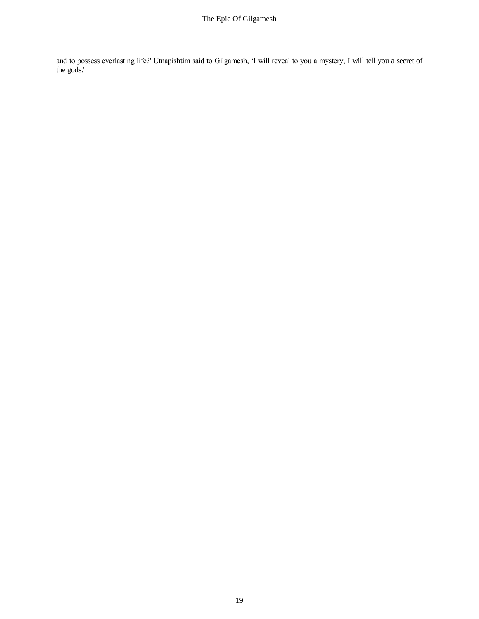and to possess everlasting life?' Utnapishtim said to Gilgamesh, 'I will reveal to you a mystery, I will tell you a secret of the gods.'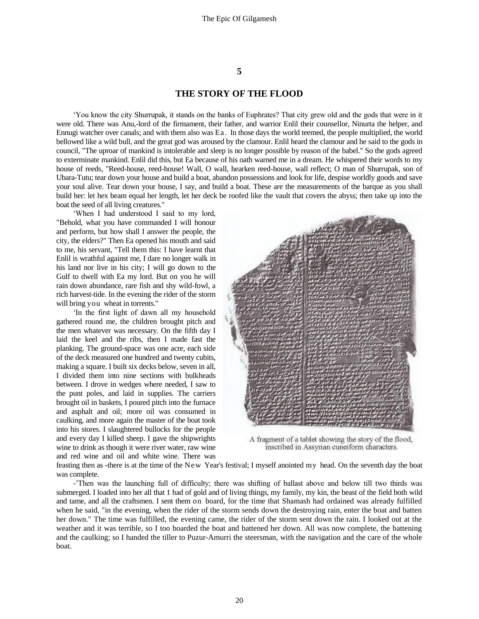# **THE STORY OF THE FLOOD**

<span id="page-19-1"></span><span id="page-19-0"></span>'You know the city Shurrupak, it stands on the banks of Euphrates? That city grew old and the gods that were in it were old. There was Anu,-lord of the firmament, their father, and warrior Enlil their counsellor, Ninurta the helper, and Ennugi watcher over canals; and with them also was Ea. In those days the world teemed, the people multiplied, the world bellowed like a wild bull, and the great god was aroused by the clamour. Enlil heard the clamour and he said to the gods in council, "The uproar of mankind is intolerable and sleep is no longer possible by reason of the babel." So the gods agreed to exterminate mankind. Enlil did this, but Ea because of his oath warned me in a dream. He whispered their words to my house of reeds, "Reed-house, reed-house! Wall, O wall, hearken reed-house, wall reflect; O man of Shurrupak, son of Ubara-Tutu; tear down your house and build a boat, abandon possessions and look for life, despise worldly goods and save your soul alive. Tear down your house, I say, and build a boat. These are the measurements of the barque as you shall build her: let hex beam equal her length, let her deck be roofed like the vault that covers the abyss; then take up into the boat the seed of all living creatures."

'When I had understood I said to my lord, "Behold, what you have commanded I will honour and perform, but how shall I answer the people, the city, the elders?" Then Ea opened his mouth and said to me, his servant, "Tell them this: I have learnt that Enlil is wrathful against me, I dare no longer walk in his land nor live in his city; I will go down to the Gulf to dwell with Ea my lord. But on you he will rain down abundance, rare fish and shy wild-fowl, a rich harvest-tide. In the evening the rider of the storm will bring you wheat in torrents."

'In the first light of dawn all my household gathered round me, the children brought pitch and the men whatever was necessary. On the fifth day I laid the keel and the ribs, then I made fast the planking. The ground-space was one acre, each side of the deck measured one hundred and twenty cubits, making a square. I built six decks below, seven in all, I divided them into nine sections with bulkheads between. I drove in wedges where needed, I saw to the punt poles, and laid in supplies. The carriers brought oil in baskets, I poured pitch into the furnace and asphalt and oil; more oil was consumed in caulking, and more again the master of the boat took into his stores. I slaughtered bullocks for the people and every day I killed sheep. I gave the shipwrights wine to drink as though it were river water, raw wine and red wine and oil and white wine. There was



A fragment of a tablet showing the story of the flood, inscribed in Assyrian cuneiform characters.

feasting then as -there is at the time of the New Year's festival; I myself anointed my head. On the seventh day the boat was complete.

-'Then was the launching full of difficulty; there was shifting of ballast above and below till two thirds was submerged. I loaded into her all that 1 had of gold and of living things, my family, my kin, the beast of the field both wild and tame, and all the craftsmen. I sent them on board, for the time that Shamash had ordained was already fulfilled when he said, "in the evening, when the rider of the storm sends down the destroying rain, enter the boat and batten her down." The time was fulfilled, the evening came, the rider of the storm sent down the rain. I looked out at the weather and it was terrible, so I too boarded the boat and battened her down. All was now complete, the battening and the caulking; so I handed the tiller to Puzur-Amurri the steersman, with the navigation and the care of the whole boat.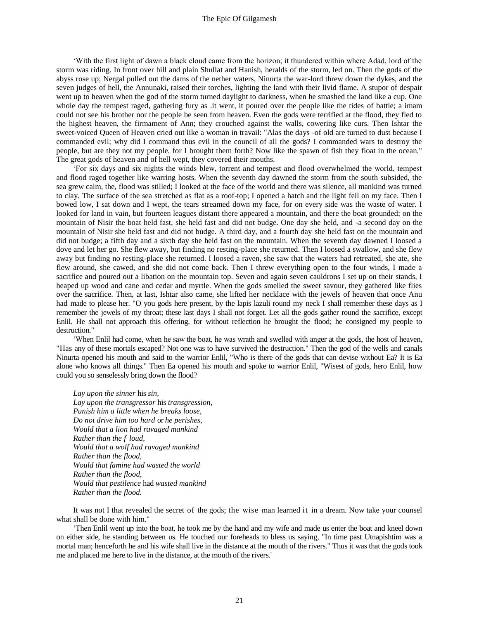'With the first light of dawn a black cloud came from the horizon; it thundered within where Adad, lord of the storm was riding. In front over hill and plain Shullat and Hanish, heralds of the storm, led on. Then the gods of the abyss rose up; Nergal pulled out the dams of the nether waters, Ninurta the war-lord threw down the dykes, and the seven judges of hell, the Annunaki, raised their torches, lighting the land with their livid flame. A stupor of despair went up to heaven when the god of the storm turned daylight to darkness, when he smashed the land like a cup. One whole day the tempest raged, gathering fury as .it went, it poured over the people like the tides of battle; a imam could not see his brother nor the people be seen from heaven. Even the gods were terrified at the flood, they fled to the highest heaven, the firmament of Ann; they crouched against the walls, cowering like curs. Then Ishtar the sweet-voiced Queen of Heaven cried out like a woman in travail: "Alas the days -of old are turned to dust because I commanded evil; why did I command thus evil in the council of all the gods? I commanded wars to destroy the people, but are they not my people, for I brought them forth? Now like the spawn of fish they float in the ocean." The great gods of heaven and of hell wept, they covered their mouths.

'For six days and six nights the winds blew, torrent and tempest and flood overwhelmed the world, tempest and flood raged together like warring hosts. When the seventh day dawned the storm from the south subsided, the sea grew calm, the, flood was stilled; I looked at the face of the world and there was silence, all mankind was turned to clay. The surface of the sea stretched as flat as a roof-top; I opened a hatch and the light fell on my face. Then I bowed low, I sat down and I wept, the tears streamed down my face, for on every side was the waste of water. I looked for land in vain, but fourteen leagues distant there appeared a mountain, and there the boat grounded; on the mountain of Nisir the boat held fast, she held fast and did not budge. One day she held, and -a second day on the mountain of Nisir she held fast and did not budge. A third day, and a fourth day she held fast on the mountain and did not budge; a fifth day and a sixth day she held fast on the mountain. When the seventh day dawned I loosed a dove and let her go. She flew away, but finding no resting-place she returned. Then I loosed a swallow, and she flew away but finding no resting-place she returned. I loosed a raven, she saw that the waters had retreated, she ate, she flew around, she cawed, and she did not come back. Then I threw everything open to the four winds, I made a sacrifice and poured out a libation on the mountain top. Seven and again seven cauldrons I set up on their stands, I heaped up wood and cane and cedar and myrtle. When the gods smelled the sweet savour, they gathered like flies over the sacrifice. Then, at last, Ishtar also came, she lifted her necklace with the jewels of heaven that once Anu had made to please her. "O you gods here present, by the lapis lazuli round my neck I shall remember these days as I remember the jewels of my throat; these last days I shall not forget. Let all the gods gather round the sacrifice, except Enlil. He shall not approach this offering, for without reflection he brought the flood; he consigned my people to destruction."

'When Enlil had come, when he saw the boat, he was wrath and swelled with anger at the gods, the host of heaven, "Has any of these mortals escaped? Not one was to have survived the destruction." Then the god of the wells and canals Ninurta opened his mouth and said to the warrior Enlil, "Who is there of the gods that can devise without Ea? It is Ea alone who knows all things." Then Ea opened his mouth and spoke to warrior Enlil, "Wisest of gods, hero Enlil, how could you so senselessly bring down the flood?

*Lay upon the sinner* his *sin, Lay upon the transgressor* his *transgression, Punish him a little when he breaks loose, Do not drive him too hard* or *he perishes, Would that a lion had ravaged mankind Rather than the f loud, Would that a wolf had ravaged mankind Rather than the flood, Would that famine had wasted the world Rather than the flood, Would that pestilence* had *wasted mankind Rather than the flood.*

It was not I that revealed the secret of the gods; the wise man learned it in a dream. Now take your counsel what shall be done with him."

'Then Enlil went up into the boat, he took me by the hand and my wife and made us enter the boat and kneel down on either side, he standing between us. He touched our foreheads to bless us saying, "In time past Utnapishtim was a mortal man; henceforth he and his wife shall live in the distance at the mouth of the rivers." Thus it was that the gods took me and placed me here to live in the distance, at the mouth of the rivers.'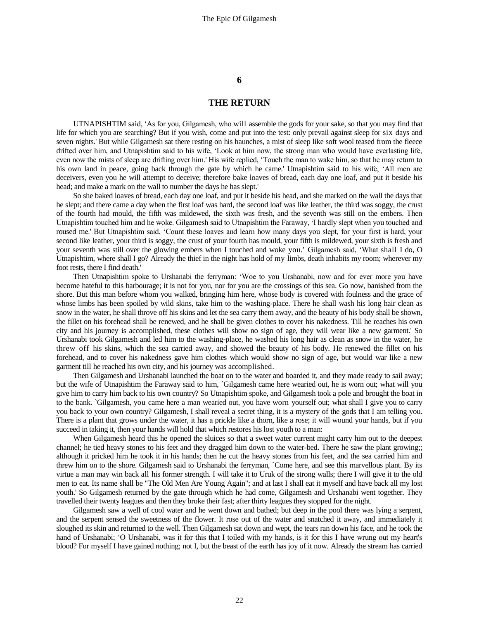# **THE RETURN**

<span id="page-21-1"></span><span id="page-21-0"></span>UTNAPISHTIM said, 'As for you, Gilgamesh, who will assemble the gods for your sake, so that you may find that life for which you are searching? But if you wish, come and put into the test: only prevail against sleep for six days and seven nights.' But while Gilgamesh sat there resting on his haunches, a mist of sleep like soft wool teased from the fleece drifted over him, and Utnapishtim said to his wife, 'Look at him now, the strong man who would have everlasting life, even now the mists of sleep are drifting over him.' His wife replied, 'Touch the man to wake him, so that he may return to his own land in peace, going back through the gate by which he came.' Utnapishtim said to his wife, 'All men are deceivers, even you he will attempt to deceive; therefore bake loaves of bread, each day one loaf, and put it beside his head; and make a mark on the wall to number the days he has slept.'

So she baked loaves of bread, each day one loaf, and put it beside his head, and she marked on the wall the days that he slept; and there came a day when the first loaf was hard, the second loaf was like leather, the third was soggy, the crust of the fourth had mould, the fifth was mildewed, the sixth was fresh, and the seventh was still on the embers. Then Utnapishtim touched him and he woke. Gilgamesh said to Utnapishtim the Faraway, 'I hardly slept when you touched and roused me.' But Utnapishtim said, 'Count these loaves and learn how many days you slept, for your first is hard, your second like leather, your third is soggy, the crust of your fourth has mould, your fifth is mildewed, your sixth is fresh and your seventh was still over the glowing embers when I touched and woke you.' Gilgamesh said, 'What shall I do, O Utnapishtim, where shall I go? Already the thief in the night has hold of my limbs, death inhabits my room; wherever my foot rests, there I find death.'

Then Utnapishtim spoke to Urshanabi the ferryman: 'Woe to you Urshanabi, now and for ever more you have become hateful to this harbourage; it is not for you, nor for you are the crossings of this sea. Go now, banished from the shore. But this man before whom you walked, bringing him here, whose body is covered with foulness and the grace of whose limbs has been spoiled by wild skins, take him to the washing-place. There he shall wash his long hair clean as snow in the water, he shall throve off his skins and let the sea carry them away, and the beauty of his body shall be shown, the fillet on his forehead shall be renewed, and he shall be given clothes to cover his nakedness. Till he reaches his own city and his journey is accomplished, these clothes will show no sign of age, they will wear like a new garment.' So Urshanabi took Gilgamesh and led him to the washing-place, he washed his long hair as clean as snow in the water, he threw off his skins, which the sea carried away, and showed the beauty of his body. He renewed the fillet on his forehead, and to cover his nakedness gave him clothes which would show no sign of age, but would war like a new garment till he reached his own city, and his journey was accomplished.

Then Gilgamesh and Urshanabi launched the boat on to the water and boarded it, and they made ready to sail away; but the wife of Utnapishtim the Faraway said to him, `Gilgamesh came here wearied out, he is worn out; what will you give him to carry him back to his own country? So Utnapishtim spoke, and Gilgamesh took a pole and brought the boat in to the bank. `Gilgamesh, you came here a man wearied out, you have worn yourself out; what shall I give you to carry you back to your own country? Gilgamesh, I shall reveal a secret thing, it is a mystery of the gods that I am telling you. There is a plant that grows under the water, it has a prickle like a thorn, like a rose; it will wound your hands, but if you succeed in taking it, then your hands will hold that which restores his lost youth to a man:

When Gilgamesh heard this he opened the sluices so that a sweet water current might carry him out to the deepest channel; he tied heavy stones to his feet and they dragged him down to the water-bed. There he saw the plant growing;; although it pricked him he took it in his hands; then he cut the heavy stones from his feet, and the sea carried him and threw him on to the shore. Gilgamesh said to Urshanabi the ferryman, `Come here, and see this marvellous plant. By its virtue a man may win back all his former strength. I will take it to Uruk of the strong walls; there I will give it to the old men to eat. Its name shall be "The Old Men Are Young Again"; and at last I shall eat it myself and have back all my lost youth.' So Gilgamesh returned by the gate through which he had come, Gilgamesh and Urshanabi went together. They travelled their twenty leagues and then they broke their fast; after thirty leagues they stopped for the night.

Gilgamesh saw a well of cool water and he went down and bathed; but deep in the pool there was lying a serpent, and the serpent sensed the sweetness of the flower. It rose out of the water and snatched it away, and immediately it sloughed its skin and returned to the well. Then Gilgamesh sat down and wept, the tears ran down his face, and he took the hand of Urshanabi; 'O Urshanabi, was it for this that I toiled with my hands, is it for this I have wrung out my heart's blood? For myself I have gained nothing; not I, but the beast of the earth has joy of it now. Already the stream has carried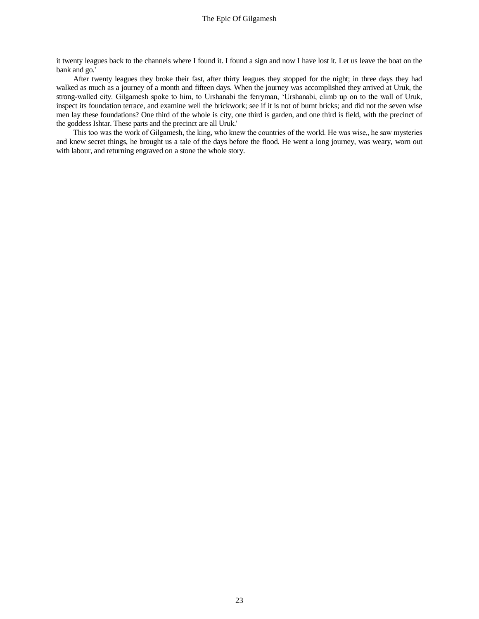it twenty leagues back to the channels where I found it. I found a sign and now I have lost it. Let us leave the boat on the bank and go.'

After twenty leagues they broke their fast, after thirty leagues they stopped for the night; in three days they had walked as much as a journey of a month and fifteen days. When the journey was accomplished they arrived at Uruk, the strong-walled city. Gilgamesh spoke to him, to Urshanabi the ferryman, 'Urshanabi, climb up on to the wall of Uruk, inspect its foundation terrace, and examine well the brickwork; see if it is not of burnt bricks; and did not the seven wise men lay these foundations? One third of the whole is city, one third is garden, and one third is field, with the precinct of the goddess Ishtar. These parts and the precinct are all Uruk.'

This too was the work of Gilgamesh, the king, who knew the countries of the world. He was wise,, he saw mysteries and knew secret things, he brought us a tale of the days before the flood. He went a long journey, was weary, worn out with labour, and returning engraved on a stone the whole story.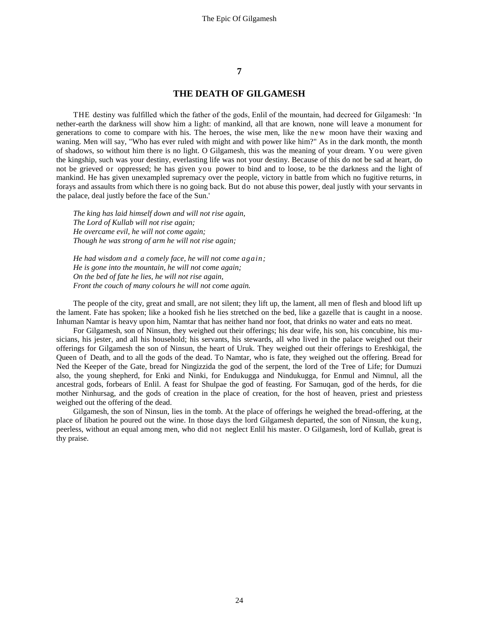#### **THE DEATH OF GILGAMESH**

<span id="page-23-1"></span><span id="page-23-0"></span>THE destiny was fulfilled which the father of the gods, Enlil of the mountain, had decreed for Gilgamesh: 'In nether-earth the darkness will show him a light: of mankind, all that are known, none will leave a monument for generations to come to compare with his. The heroes, the wise men, like the new moon have their waxing and waning. Men will say, "Who has ever ruled with might and with power like him?" As in the dark month, the month of shadows, so without him there is no light. O Gilgamesh, this was the meaning of your dream. You were given the kingship, such was your destiny, everlasting life was not your destiny. Because of this do not be sad at heart, do not be grieved or oppressed; he has given you power to bind and to loose, to be the darkness and the light of mankind. He has given unexampled supremacy over the people, victory in battle from which no fugitive returns, in forays and assaults from which there is no going back. But do not abuse this power, deal justly with your servants in the palace, deal justly before the face of the Sun.'

*The king has laid himself down and will not rise again, The Lord of Kullab will not rise again; He overcame evil, he will not come again; Though he was strong of arm he will not rise again;*

*He had wisdom and a comely face, he will not come again; He is gone into the mountain, he will not come again; On the bed of fate he lies, he will not rise again, Front the couch of many colours he will not come again.*

The people of the city, great and small, are not silent; they lift up, the lament, all men of flesh and blood lift up the lament. Fate has spoken; like a hooked fish he lies stretched on the bed, like a gazelle that is caught in a noose. Inhuman Namtar is heavy upon him, Namtar that has neither hand nor foot, that drinks no water and eats no meat.

For Gilgamesh, son of Ninsun, they weighed out their offerings; his dear wife, his son, his concubine, his musicians, his jester, and all his household; his servants, his stewards, all who lived in the palace weighed out their offerings for Gilgamesh the son of Ninsun, the heart of Uruk. They weighed out their offerings to Ereshkigal, the Queen of Death, and to all the gods of the dead. To Namtar, who is fate, they weighed out the offering. Bread for Ned the Keeper of the Gate, bread for Ningizzida the god of the serpent, the lord of the Tree of Life; for Dumuzi also, the young shepherd, for Enki and Ninki, for Endukugga and Nindukugga, for Enmul and Nimnul, all the ancestral gods, forbears of Enlil. A feast for Shulpae the god of feasting. For Samuqan, god of the herds, for die mother Ninhursag, and the gods of creation in the place of creation, for the host of heaven, priest and priestess weighed out the offering of the dead.

Gilgamesh, the son of Ninsun, lies in the tomb. At the place of offerings he weighed the bread-offering, at the place of libation he poured out the wine. In those days the lord Gilgamesh departed, the son of Ninsun, the kung, peerless, without an equal among men, who did not neglect Enlil his master. O Gilgamesh, lord of Kullab, great is thy praise.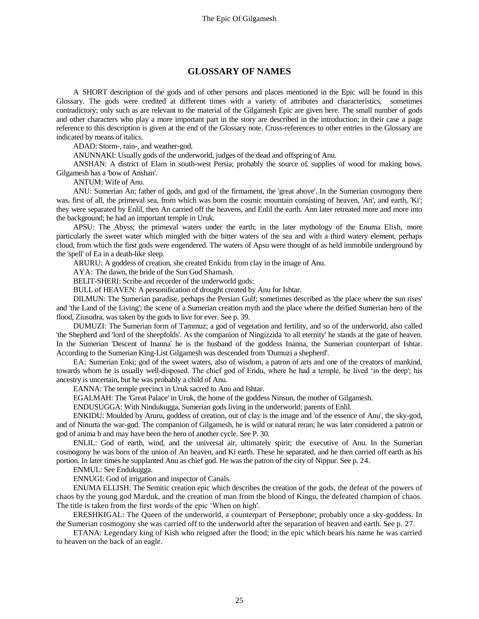# **GLOSSARY OF NAMES**

<span id="page-24-0"></span>A SHORT description of the gods and of other persons and places mentioned in the Epic will be found in this Glossary. The gods were credited at different times with a variety of attributes and characteristics, sometimes contradictory; only such as are relevant to the material of the Gilgamesh Epic are given here. The small number of gods and other characters who play a more important part in the story are described in the introduction; in their case a page reference to this description is given at the end of the Glossary note. Cross-references to other entries in the Glossary are indicated by means of italics.

ADAD: Storm-, rain-, and weather-god.

ANUNNAKI: Usually gods of the underworld, judges of the dead and offspring of Anu.

ANSHAN: A district of Elam in south-west Persia; probably the source o£ supplies of wood for making bows. Gilgamesh has a 'bow of Anshan'.

ANTUM: Wife of Anu.

ANU: Sumerian An; father of gods, and god of the firmament, the 'great above'. In the Sumerian cosmogony there was, first of all, the primeval sea, from which was born the cosmic mountain consisting of heaven, 'An', and earth, 'Ki'; they were separated by Enlil, then An carried off the heavens, and Enlil the earth. Ann later retreated more and more into the background; he had an important temple in Uruk.

APSU: The Abyss; the primeval waters under the earth; in the later mythology of the Enuma Elish, more particularly the sweet water which mingled with the bitter waters of the sea and with a third watery element, perhaps cloud, from which the first gods were engendered. The waters of Apsu were thought of as held immobile underground by the 'spell' of Ea in a death-like sleep.

ARURU: A goddess of creation, she created Enkidu from clay in the image of Anu.

AYA: The dawn, the bride of the Sun God Shamash.

BELIT-SHERI: Scribe and recorder of the underworld gods:

BULL of HEAVEN: A personification of drought created by Anu for Ishtar.

DILMUN: The Sumerian paradise, perhaps the Persian Gulf; sometimes described as 'the place where the sun rises' and 'the Land of the Living'; the scene of a Sumerian creation myth and the place where the deified Sumerian hero of the flood, Ziusudra, was taken by the gods to live for ever. See p. 39.

DUMUZI: The Sumerian form of Tammuz; a god of vegetation and fertility, and so of the underworld, also called 'the Shepherd and 'lord of the sheepfolds'. As the companion of Ningizzida 'to all eternity' he stands at the gate of heaven. In the Sumerian 'Descent of Inanna' he is the husband of the goddess Inanna, the Sumerian counterpart of Ishtar. According to the Sumerian King-List Gilgamesh was descended from 'Dumuzi a shepherd'.

EA: Sumerian Enki; god of the sweet waters, also of wisdom, a patron of arts and one of the creators of mankind, towards whom he is usually well-disposed. The chief god of Eridu, where he had a temple, he lived 'in the deep'; his ancestry is uncertain, but he was probably a child of Anu.

EANNA: The temple precinct in Uruk sacred to Anu and Ishtar.

EGALMAH: The 'Great Palace' in Uruk, the home of the goddess Ninsun, the mother of Gilgamesh.

ENDUSUGGA: With Nindukugga, Sumerian gods living in the underworld; parents of Enlil.

ENKIDU: Moulded by Aruru, goddess of creation, out of clay is the image and 'of the essence of Anu', the sky-god, and of Ninurta the war-god. The companion of Gilgamesh, he is wild or natural reran; he was later considered a patron or god of anima b and may have been the hero of another cycle. See P. 30.

ENLIL: God of earth, wind, and the universal air, ultimately spirit; the executive of Anu. In the Sumerian cosmogony he was born of the union of An heaven, and Ki earth. These he separated, and he then carried off earth as his portion. In later times he supplanted Anu as chief god. He was the patron of the city of Nippur. See p. 24.

ENMUL: See Endukugga.

ENNUGI: God of irrigation and inspector of Canals.

ENUMA ELLISH: The Semitic creation epic which describes the creation of the gods, the defeat of the powers of chaos by the young god Marduk, and the creation of man from the blood of Kingu, the defeated champion of chaos. The title is taken from the first words of the epic 'When on high'.

ERESHKIGAL: The Queen of the underworld, a counterpart of Persephone; probably once a sky-goddess. In the Sumerian cosmogony she was carried off to the underworld after the separation of heaven and earth. See p. 27.

ETANA: Legendary king of Kish who reigned after the flood; in the epic which bears his name he was carried to heaven on the back of an eagle.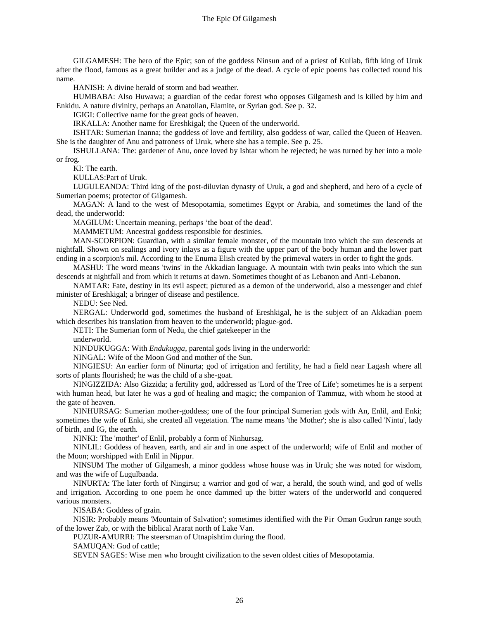GILGAMESH: The hero of the Epic; son of the goddess Ninsun and of a priest of Kullab, fifth king of Uruk after the flood, famous as a great builder and as a judge of the dead. A cycle of epic poems has collected round his name.

HANISH: A divine herald of storm and bad weather.

HUMBABA: Also Huwawa; a guardian of the cedar forest who opposes Gilgamesh and is killed by him and Enkidu. A nature divinity, perhaps an Anatolian, Elamite, or Syrian god. See p. 32.

IGIGI: Collective name for the great gods of heaven.

IRKALLA: Another name for Ereshkigal; the Queen of the underworld.

ISHTAR: Sumerian Inanna; the goddess of love and fertility, also goddess of war, called the Queen of Heaven. She is the daughter of Anu and patroness of Uruk, where she has a temple. See p. 25.

ISHULLANA: The: gardener of Anu, once loved by Ishtar whom he rejected; he was turned by her into a mole or frog.

KI: The earth.

KULLAS:Part of Uruk.

LUGULEANDA: Third king of the post-diluvian dynasty of Uruk, a god and shepherd, and hero of a cycle of Sumerian poems; protector of Gilgamesh.

MAGAN: A land to the west of Mesopotamia, sometimes Egypt or Arabia, and sometimes the land of the dead, the underworld:

MAGILUM: Uncertain meaning, perhaps 'the boat of the dead'.

MAMMETUM: Ancestral goddess responsible for destinies.

MAN-SCORPION: Guardian, with a similar female monster, of the mountain into which the sun descends at nightfall. Shown on sealings and ivory inlays as a figure with the upper part of the body human and the lower part ending in a scorpion's mil. According to the Enuma Elish created by the primeval waters in order to fight the gods.

MASHU: The word means 'twins' in the Akkadian language. A mountain with twin peaks into which the sun descends at nightfall and from which it returns at dawn. Sometimes thought of as Lebanon and Anti-Lebanon.

NAMTAR: Fate, destiny in its evil aspect; pictured as a demon of the underworld, also a messenger and chief minister of Ereshkigal; a bringer of disease and pestilence.

NEDU: See Ned.

NERGAL: Underworld god, sometimes the husband of Ereshkigal, he is the subject of an Akkadian poem which describes his translation from heaven to the underworld; plague-god.

NETI: The Sumerian form of Nedu, the chief gatekeeper in the

underworld.

NINDUKUGGA: With *Endukugga*, parental gods living in the underworld:

NINGAL: Wife of the Moon God and mother of the Sun.

NINGIESU: An earlier form of Ninurta; god of irrigation and fertility, he had a field near Lagash where all sorts of plants flourished; he was the child of a she-goat.

NINGIZZIDA: Also Gizzida; a fertility god, addressed as 'Lord of the Tree of Life'; sometimes he is a serpent with human head, but later he was a god of healing and magic; the companion of Tammuz, with whom he stood at the gate of heaven.

NINHURSAG: Sumerian mother-goddess; one of the four principal Sumerian gods with An, Enlil, and Enki; sometimes the wife of Enki, she created all vegetation. The name means 'the Mother'; she is also called 'Nintu', lady of birth, and IG, the earth.

NINKI: The 'mother' of Enlil, probably a form of Ninhursag.

NINLIL: Goddess of heaven, earth, and air and in one aspect of the underworld; wife of Enlil and mother of the Moon; worshipped with Enlil in Nippur.

NINSUM The mother of Gilgamesh, a minor goddess whose house was in Uruk; she was noted for wisdom, and was the wife of Lugulbaada.

NINURTA: The later forth of Ningirsu; a warrior and god of war, a herald, the south wind, and god of wells and irrigation. According to one poem he once dammed up the bitter waters of the underworld and conquered various monsters.

NISABA: Goddess of grain.

NISIR: Probably means 'Mountain of Salvation'; sometimes identified with the Pir Oman Gudrun range south. of the lower Zab, or with the biblical Ararat north of Lake Van.

PUZUR-AMURRI: The steersman of Utnapishtim during the flood.

SAMUQAN: God of cattle;

SEVEN SAGES: Wise men who brought civilization to the seven oldest cities of Mesopotamia.